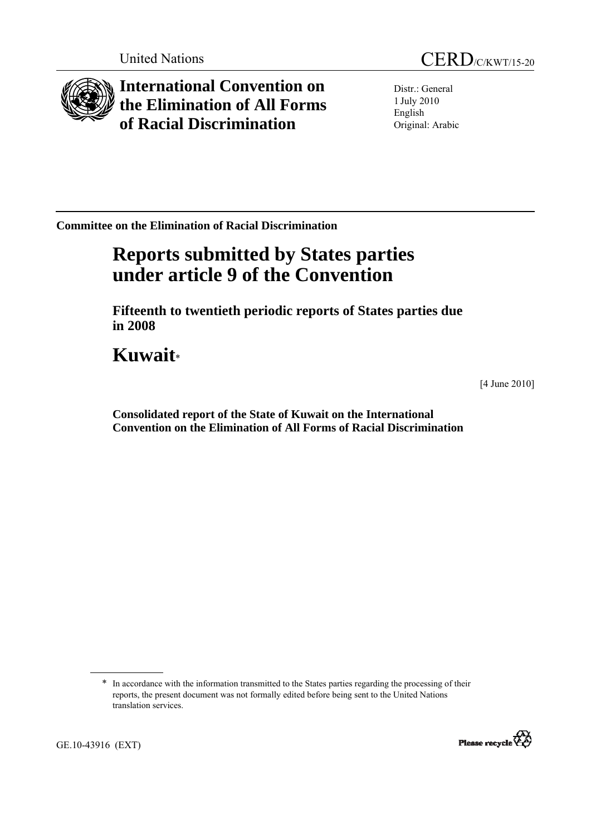

**International Convention on the Elimination of All Forms of Racial Discrimination** 

Distr.: General 1 July 2010 English Original: Arabic

**Committee on the Elimination of Racial Discrimination** 

# **Reports submitted by States parties under article 9 of the Convention**

 **Fifteenth to twentieth periodic reports of States parties due in 2008** 

**Kuwait**\*

[4 June 2010]

 **Consolidated report of the State of Kuwait on the International Convention on the Elimination of All Forms of Racial Discrimination** 

<sup>\*</sup> In accordance with the information transmitted to the States parties regarding the processing of their reports, the present document was not formally edited before being sent to the United Nations translation services.

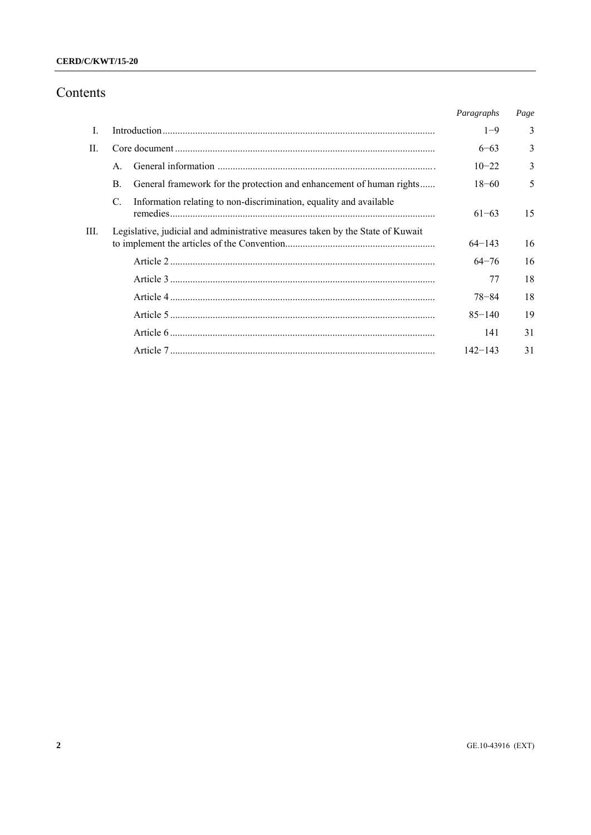# Contents

|      |                                                                                |                                                                      | Paragraphs  | Page |
|------|--------------------------------------------------------------------------------|----------------------------------------------------------------------|-------------|------|
| L    |                                                                                |                                                                      | $1 - 9$     | 3    |
| П.   |                                                                                |                                                                      |             | 3    |
|      | $\mathsf{A}$                                                                   |                                                                      | $10 - 22$   | 3    |
|      | B.                                                                             | General framework for the protection and enhancement of human rights | $18 - 60$   | 5    |
|      | C.                                                                             | Information relating to non-discrimination, equality and available   | $61 - 63$   | 15   |
| III. | Legislative, judicial and administrative measures taken by the State of Kuwait |                                                                      | $64 - 143$  | 16   |
|      |                                                                                |                                                                      | $64 - 76$   | 16   |
|      |                                                                                |                                                                      | 77          | 18   |
|      |                                                                                |                                                                      | $78 - 84$   | 18   |
|      |                                                                                |                                                                      | $85 - 140$  | 19   |
|      |                                                                                |                                                                      | 141         | 31   |
|      |                                                                                |                                                                      | $142 - 143$ | 31   |
|      |                                                                                |                                                                      |             |      |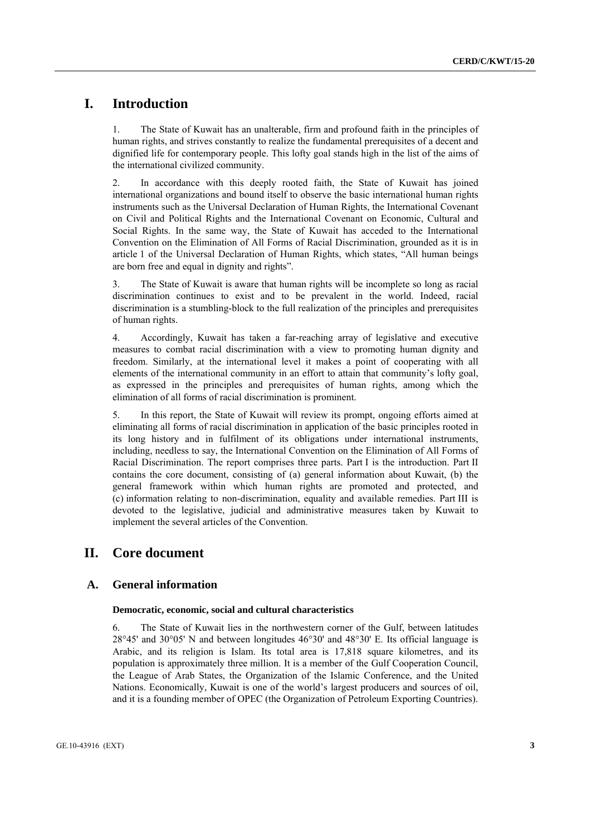# **I. Introduction**

1. The State of Kuwait has an unalterable, firm and profound faith in the principles of human rights, and strives constantly to realize the fundamental prerequisites of a decent and dignified life for contemporary people. This lofty goal stands high in the list of the aims of the international civilized community.

2. In accordance with this deeply rooted faith, the State of Kuwait has joined international organizations and bound itself to observe the basic international human rights instruments such as the Universal Declaration of Human Rights, the International Covenant on Civil and Political Rights and the International Covenant on Economic, Cultural and Social Rights. In the same way, the State of Kuwait has acceded to the International Convention on the Elimination of All Forms of Racial Discrimination, grounded as it is in article 1 of the Universal Declaration of Human Rights, which states, "All human beings are born free and equal in dignity and rights".

3. The State of Kuwait is aware that human rights will be incomplete so long as racial discrimination continues to exist and to be prevalent in the world. Indeed, racial discrimination is a stumbling-block to the full realization of the principles and prerequisites of human rights.

4. Accordingly, Kuwait has taken a far-reaching array of legislative and executive measures to combat racial discrimination with a view to promoting human dignity and freedom. Similarly, at the international level it makes a point of cooperating with all elements of the international community in an effort to attain that community's lofty goal, as expressed in the principles and prerequisites of human rights, among which the elimination of all forms of racial discrimination is prominent.

5. In this report, the State of Kuwait will review its prompt, ongoing efforts aimed at eliminating all forms of racial discrimination in application of the basic principles rooted in its long history and in fulfilment of its obligations under international instruments, including, needless to say, the International Convention on the Elimination of All Forms of Racial Discrimination. The report comprises three parts. Part I is the introduction. Part II contains the core document, consisting of (a) general information about Kuwait, (b) the general framework within which human rights are promoted and protected, and (c) information relating to non-discrimination, equality and available remedies. Part III is devoted to the legislative, judicial and administrative measures taken by Kuwait to implement the several articles of the Convention.

# **II. Core document**

# **A. General information**

#### **Democratic, economic, social and cultural characteristics**

6. The State of Kuwait lies in the northwestern corner of the Gulf, between latitudes  $28^{\circ}45'$  and  $30^{\circ}05'$  N and between longitudes  $46^{\circ}30'$  and  $48^{\circ}30'$  E. Its official language is Arabic, and its religion is Islam. Its total area is 17,818 square kilometres, and its population is approximately three million. It is a member of the Gulf Cooperation Council, the League of Arab States, the Organization of the Islamic Conference, and the United Nations. Economically, Kuwait is one of the world's largest producers and sources of oil, and it is a founding member of OPEC (the Organization of Petroleum Exporting Countries).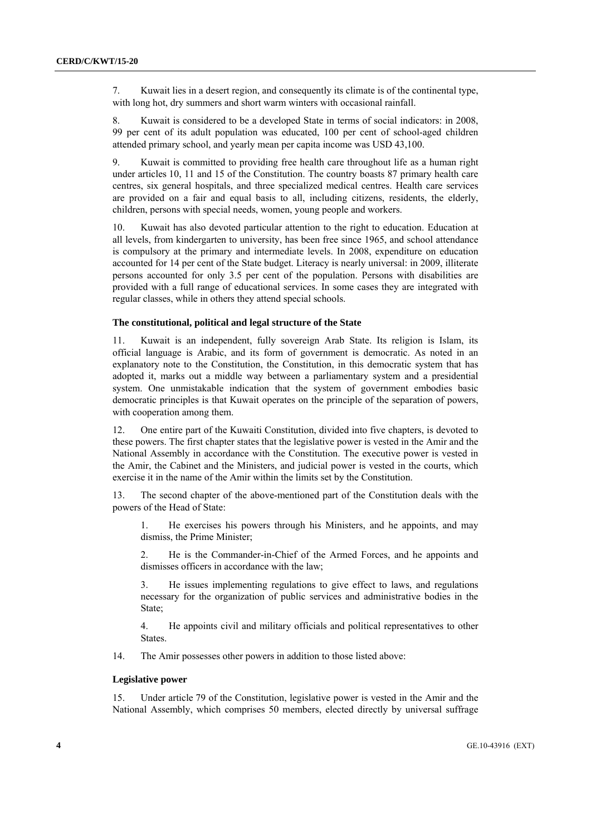7. Kuwait lies in a desert region, and consequently its climate is of the continental type, with long hot, dry summers and short warm winters with occasional rainfall.

8. Kuwait is considered to be a developed State in terms of social indicators: in 2008, 99 per cent of its adult population was educated, 100 per cent of school-aged children attended primary school, and yearly mean per capita income was USD 43,100.

9. Kuwait is committed to providing free health care throughout life as a human right under articles 10, 11 and 15 of the Constitution. The country boasts 87 primary health care centres, six general hospitals, and three specialized medical centres. Health care services are provided on a fair and equal basis to all, including citizens, residents, the elderly, children, persons with special needs, women, young people and workers.

10. Kuwait has also devoted particular attention to the right to education. Education at all levels, from kindergarten to university, has been free since 1965, and school attendance is compulsory at the primary and intermediate levels. In 2008, expenditure on education accounted for 14 per cent of the State budget. Literacy is nearly universal: in 2009, illiterate persons accounted for only 3.5 per cent of the population. Persons with disabilities are provided with a full range of educational services. In some cases they are integrated with regular classes, while in others they attend special schools.

# **The constitutional, political and legal structure of the State**

11. Kuwait is an independent, fully sovereign Arab State. Its religion is Islam, its official language is Arabic, and its form of government is democratic. As noted in an explanatory note to the Constitution, the Constitution, in this democratic system that has adopted it, marks out a middle way between a parliamentary system and a presidential system. One unmistakable indication that the system of government embodies basic democratic principles is that Kuwait operates on the principle of the separation of powers, with cooperation among them.

12. One entire part of the Kuwaiti Constitution, divided into five chapters, is devoted to these powers. The first chapter states that the legislative power is vested in the Amir and the National Assembly in accordance with the Constitution. The executive power is vested in the Amir, the Cabinet and the Ministers, and judicial power is vested in the courts, which exercise it in the name of the Amir within the limits set by the Constitution.

13. The second chapter of the above-mentioned part of the Constitution deals with the powers of the Head of State:

1. He exercises his powers through his Ministers, and he appoints, and may dismiss, the Prime Minister;

2. He is the Commander-in-Chief of the Armed Forces, and he appoints and dismisses officers in accordance with the law;

3. He issues implementing regulations to give effect to laws, and regulations necessary for the organization of public services and administrative bodies in the State;

4. He appoints civil and military officials and political representatives to other States.

14. The Amir possesses other powers in addition to those listed above:

# **Legislative power**

15. Under article 79 of the Constitution, legislative power is vested in the Amir and the National Assembly, which comprises 50 members, elected directly by universal suffrage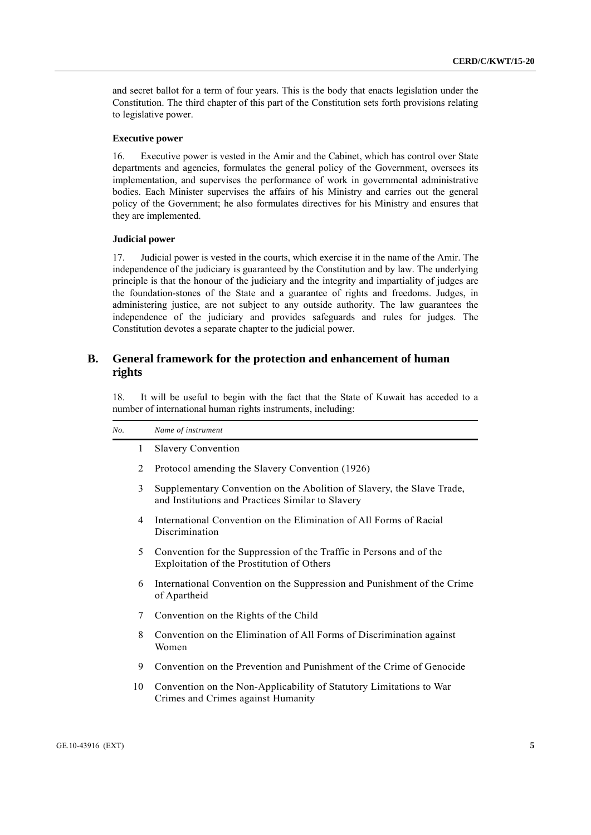and secret ballot for a term of four years. This is the body that enacts legislation under the Constitution. The third chapter of this part of the Constitution sets forth provisions relating to legislative power.

#### **Executive power**

16. Executive power is vested in the Amir and the Cabinet, which has control over State departments and agencies, formulates the general policy of the Government, oversees its implementation, and supervises the performance of work in governmental administrative bodies. Each Minister supervises the affairs of his Ministry and carries out the general policy of the Government; he also formulates directives for his Ministry and ensures that they are implemented.

# **Judicial power**

17. Judicial power is vested in the courts, which exercise it in the name of the Amir. The independence of the judiciary is guaranteed by the Constitution and by law. The underlying principle is that the honour of the judiciary and the integrity and impartiality of judges are the foundation-stones of the State and a guarantee of rights and freedoms. Judges, in administering justice, are not subject to any outside authority. The law guarantees the independence of the judiciary and provides safeguards and rules for judges. The Constitution devotes a separate chapter to the judicial power.

# **B. General framework for the protection and enhancement of human rights**

18. It will be useful to begin with the fact that the State of Kuwait has acceded to a number of international human rights instruments, including:

| No. |              | Name of instrument                                                                                                          |
|-----|--------------|-----------------------------------------------------------------------------------------------------------------------------|
|     | $\mathbf{1}$ | <b>Slavery Convention</b>                                                                                                   |
|     | 2            | Protocol amending the Slavery Convention (1926)                                                                             |
|     | 3            | Supplementary Convention on the Abolition of Slavery, the Slave Trade,<br>and Institutions and Practices Similar to Slavery |
|     | 4            | International Convention on the Elimination of All Forms of Racial<br>Discrimination                                        |
|     | 5            | Convention for the Suppression of the Traffic in Persons and of the<br>Exploitation of the Prostitution of Others           |
|     | 6            | International Convention on the Suppression and Punishment of the Crime<br>of Apartheid                                     |
|     | 7            | Convention on the Rights of the Child                                                                                       |
|     | 8            | Convention on the Elimination of All Forms of Discrimination against<br>Women                                               |
|     | 9            | Convention on the Prevention and Punishment of the Crime of Genocide                                                        |
|     | 10           | Convention on the Non-Applicability of Statutory Limitations to War<br>Crimes and Crimes against Humanity                   |
|     |              |                                                                                                                             |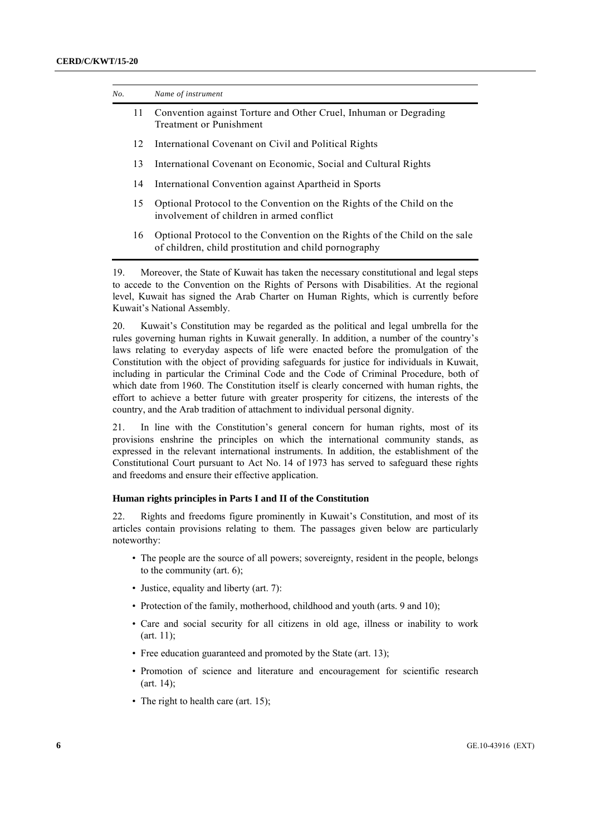| No. |    | Name of instrument                                                                                                                  |
|-----|----|-------------------------------------------------------------------------------------------------------------------------------------|
|     | 11 | Convention against Torture and Other Cruel, Inhuman or Degrading<br><b>Treatment or Punishment</b>                                  |
|     | 12 | International Covenant on Civil and Political Rights                                                                                |
|     | 13 | International Covenant on Economic, Social and Cultural Rights                                                                      |
|     | 14 | International Convention against Apartheid in Sports                                                                                |
|     | 15 | Optional Protocol to the Convention on the Rights of the Child on the<br>involvement of children in armed conflict                  |
|     | 16 | Optional Protocol to the Convention on the Rights of the Child on the sale<br>of children, child prostitution and child pornography |

19. Moreover, the State of Kuwait has taken the necessary constitutional and legal steps to accede to the Convention on the Rights of Persons with Disabilities. At the regional level, Kuwait has signed the Arab Charter on Human Rights, which is currently before Kuwait's National Assembly.

20. Kuwait's Constitution may be regarded as the political and legal umbrella for the rules governing human rights in Kuwait generally. In addition, a number of the country's laws relating to everyday aspects of life were enacted before the promulgation of the Constitution with the object of providing safeguards for justice for individuals in Kuwait, including in particular the Criminal Code and the Code of Criminal Procedure, both of which date from 1960. The Constitution itself is clearly concerned with human rights, the effort to achieve a better future with greater prosperity for citizens, the interests of the country, and the Arab tradition of attachment to individual personal dignity.

21. In line with the Constitution's general concern for human rights, most of its provisions enshrine the principles on which the international community stands, as expressed in the relevant international instruments. In addition, the establishment of the Constitutional Court pursuant to Act No. 14 of 1973 has served to safeguard these rights and freedoms and ensure their effective application.

# **Human rights principles in Parts I and II of the Constitution**

22. Rights and freedoms figure prominently in Kuwait's Constitution, and most of its articles contain provisions relating to them. The passages given below are particularly noteworthy:

- The people are the source of all powers; sovereignty, resident in the people, belongs to the community (art. 6);
- Justice, equality and liberty (art. 7):
- Protection of the family, motherhood, childhood and youth (arts. 9 and 10):
- Care and social security for all citizens in old age, illness or inability to work (art. 11);
- Free education guaranteed and promoted by the State (art. 13);
- Promotion of science and literature and encouragement for scientific research (art. 14);
- The right to health care (art. 15):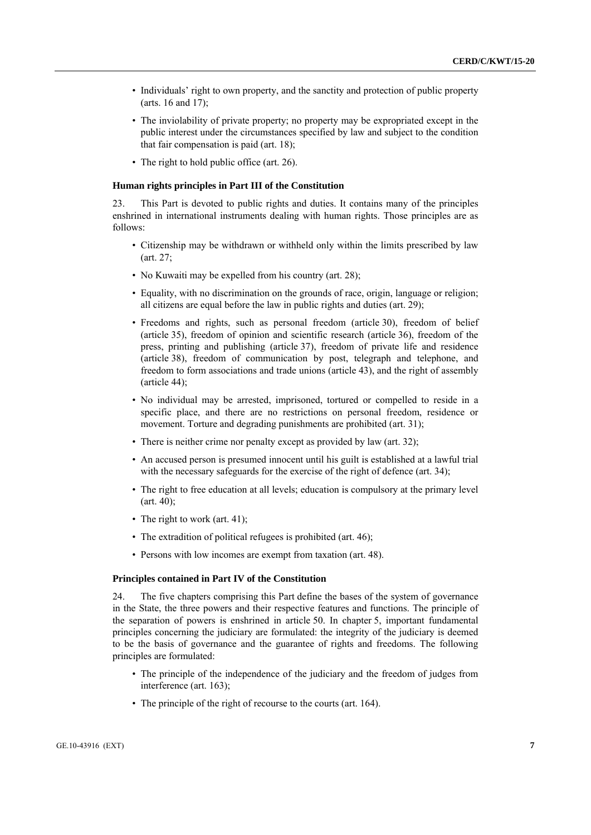- Individuals' right to own property, and the sanctity and protection of public property (arts. 16 and 17);
- The inviolability of private property; no property may be expropriated except in the public interest under the circumstances specified by law and subject to the condition that fair compensation is paid (art. 18);
- The right to hold public office (art. 26).

#### **Human rights principles in Part III of the Constitution**

23. This Part is devoted to public rights and duties. It contains many of the principles enshrined in international instruments dealing with human rights. Those principles are as follows:

- Citizenship may be withdrawn or withheld only within the limits prescribed by law (art. 27;
- No Kuwaiti may be expelled from his country (art. 28);
- Equality, with no discrimination on the grounds of race, origin, language or religion; all citizens are equal before the law in public rights and duties (art. 29);
- Freedoms and rights, such as personal freedom (article 30), freedom of belief (article 35), freedom of opinion and scientific research (article 36), freedom of the press, printing and publishing (article 37), freedom of private life and residence (article 38), freedom of communication by post, telegraph and telephone, and freedom to form associations and trade unions (article 43), and the right of assembly (article 44);
- No individual may be arrested, imprisoned, tortured or compelled to reside in a specific place, and there are no restrictions on personal freedom, residence or movement. Torture and degrading punishments are prohibited (art. 31);
- There is neither crime nor penalty except as provided by law (art. 32);
- An accused person is presumed innocent until his guilt is established at a lawful trial with the necessary safeguards for the exercise of the right of defence (art. 34);
- The right to free education at all levels; education is compulsory at the primary level  $(art. 40)$ ;
- The right to work (art. 41);
- The extradition of political refugees is prohibited (art. 46);
- Persons with low incomes are exempt from taxation (art. 48).

#### **Principles contained in Part IV of the Constitution**

24. The five chapters comprising this Part define the bases of the system of governance in the State, the three powers and their respective features and functions. The principle of the separation of powers is enshrined in article 50. In chapter 5, important fundamental principles concerning the judiciary are formulated: the integrity of the judiciary is deemed to be the basis of governance and the guarantee of rights and freedoms. The following principles are formulated:

- The principle of the independence of the judiciary and the freedom of judges from interference (art. 163);
- The principle of the right of recourse to the courts (art. 164).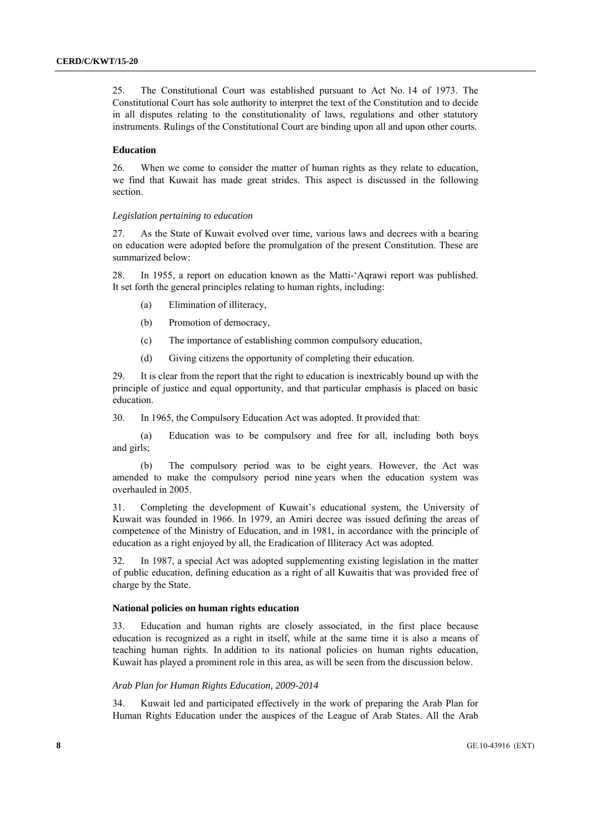25. The Constitutional Court was established pursuant to Act No. 14 of 1973. The Constitutional Court has sole authority to interpret the text of the Constitution and to decide in all disputes relating to the constitutionality of laws, regulations and other statutory instruments. Rulings of the Constitutional Court are binding upon all and upon other courts.

#### **Education**

26. When we come to consider the matter of human rights as they relate to education, we find that Kuwait has made great strides. This aspect is discussed in the following section.

#### *Legislation pertaining to education*

27. As the State of Kuwait evolved over time, various laws and decrees with a bearing on education were adopted before the promulgation of the present Constitution. These are summarized below:

28. In 1955, a report on education known as the Matti-'Aqrawi report was published. It set forth the general principles relating to human rights, including:

- (a) Elimination of illiteracy,
- (b) Promotion of democracy,
- (c) The importance of establishing common compulsory education,
- (d) Giving citizens the opportunity of completing their education.

29. It is clear from the report that the right to education is inextricably bound up with the principle of justice and equal opportunity, and that particular emphasis is placed on basic education.

30. In 1965, the Compulsory Education Act was adopted. It provided that:

(a) Education was to be compulsory and free for all, including both boys and girls;

(b) The compulsory period was to be eight years. However, the Act was amended to make the compulsory period nine years when the education system was overhauled in 2005.

31. Completing the development of Kuwait's educational system, the University of Kuwait was founded in 1966. In 1979, an Amiri decree was issued defining the areas of competence of the Ministry of Education, and in 1981, in accordance with the principle of education as a right enjoyed by all, the Eradication of Illiteracy Act was adopted.

32. In 1987, a special Act was adopted supplementing existing legislation in the matter of public education, defining education as a right of all Kuwaitis that was provided free of charge by the State.

#### **National policies on human rights education**

33. Education and human rights are closely associated, in the first place because education is recognized as a right in itself, while at the same time it is also a means of teaching human rights. In addition to its national policies on human rights education, Kuwait has played a prominent role in this area, as will be seen from the discussion below.

#### *Arab Plan for Human Rights Education, 2009-2014*

34. Kuwait led and participated effectively in the work of preparing the Arab Plan for Human Rights Education under the auspices of the League of Arab States. All the Arab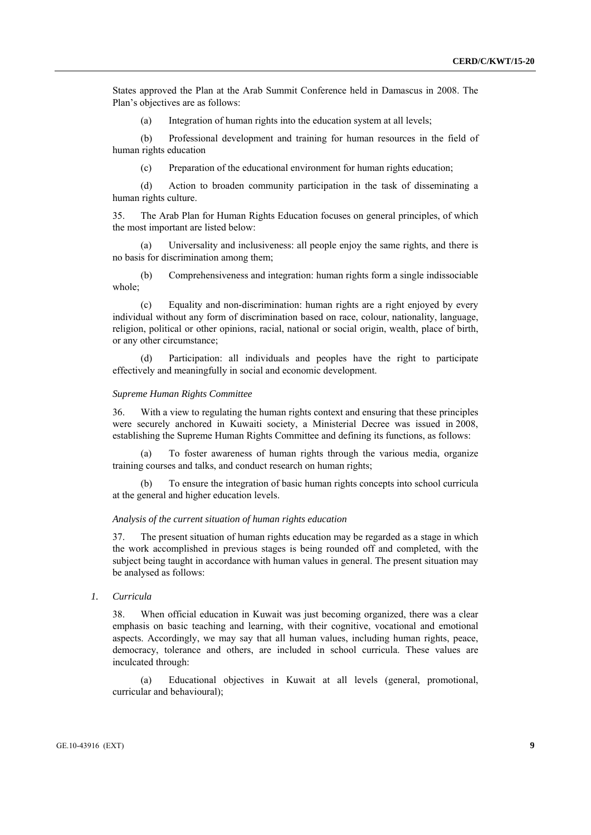States approved the Plan at the Arab Summit Conference held in Damascus in 2008. The Plan's objectives are as follows:

(a) Integration of human rights into the education system at all levels;

(b) Professional development and training for human resources in the field of human rights education

(c) Preparation of the educational environment for human rights education;

(d) Action to broaden community participation in the task of disseminating a human rights culture.

35. The Arab Plan for Human Rights Education focuses on general principles, of which the most important are listed below:

(a) Universality and inclusiveness: all people enjoy the same rights, and there is no basis for discrimination among them;

(b) Comprehensiveness and integration: human rights form a single indissociable whole;

(c) Equality and non-discrimination: human rights are a right enjoyed by every individual without any form of discrimination based on race, colour, nationality, language, religion, political or other opinions, racial, national or social origin, wealth, place of birth, or any other circumstance;

Participation: all individuals and peoples have the right to participate effectively and meaningfully in social and economic development.

#### *Supreme Human Rights Committee*

36. With a view to regulating the human rights context and ensuring that these principles were securely anchored in Kuwaiti society, a Ministerial Decree was issued in 2008, establishing the Supreme Human Rights Committee and defining its functions, as follows:

To foster awareness of human rights through the various media, organize training courses and talks, and conduct research on human rights;

To ensure the integration of basic human rights concepts into school curricula at the general and higher education levels.

# *Analysis of the current situation of human rights education*

37. The present situation of human rights education may be regarded as a stage in which the work accomplished in previous stages is being rounded off and completed, with the subject being taught in accordance with human values in general. The present situation may be analysed as follows:

 *1. Curricula* 

38. When official education in Kuwait was just becoming organized, there was a clear emphasis on basic teaching and learning, with their cognitive, vocational and emotional aspects. Accordingly, we may say that all human values, including human rights, peace, democracy, tolerance and others, are included in school curricula. These values are inculcated through:

(a) Educational objectives in Kuwait at all levels (general, promotional, curricular and behavioural);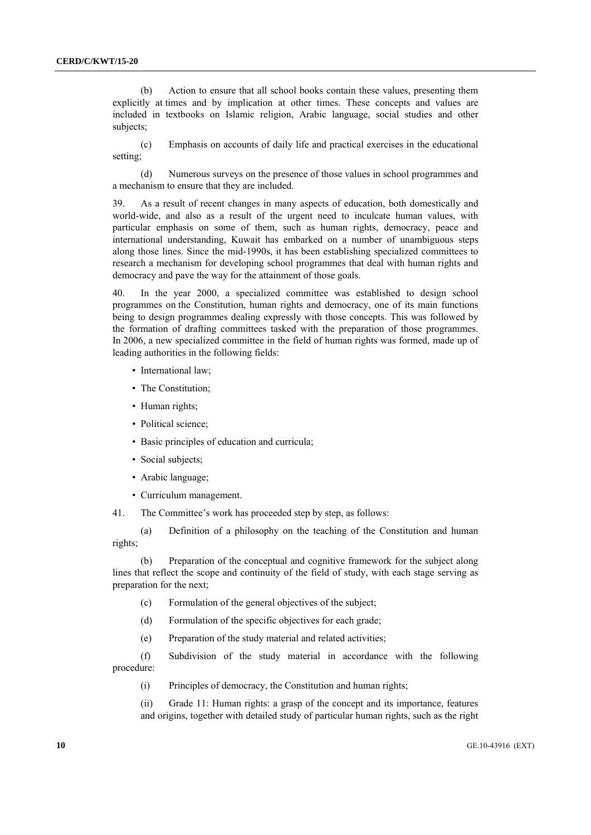(b) Action to ensure that all school books contain these values, presenting them explicitly at times and by implication at other times. These concepts and values are included in textbooks on Islamic religion, Arabic language, social studies and other subjects;

(c) Emphasis on accounts of daily life and practical exercises in the educational setting;

(d) Numerous surveys on the presence of those values in school programmes and a mechanism to ensure that they are included.

39. As a result of recent changes in many aspects of education, both domestically and world-wide, and also as a result of the urgent need to inculcate human values, with particular emphasis on some of them, such as human rights, democracy, peace and international understanding, Kuwait has embarked on a number of unambiguous steps along those lines. Since the mid-1990s, it has been establishing specialized committees to research a mechanism for developing school programmes that deal with human rights and democracy and pave the way for the attainment of those goals.

40. In the year 2000, a specialized committee was established to design school programmes on the Constitution, human rights and democracy, one of its main functions being to design programmes dealing expressly with those concepts. This was followed by the formation of drafting committees tasked with the preparation of those programmes. In 2006, a new specialized committee in the field of human rights was formed, made up of leading authorities in the following fields:

- International law;
- The Constitution;
- Human rights;
- Political science;
- Basic principles of education and curricula;
- Social subjects;
- Arabic language;
- Curriculum management.

41. The Committee's work has proceeded step by step, as follows:

(a) Definition of a philosophy on the teaching of the Constitution and human rights;

(b) Preparation of the conceptual and cognitive framework for the subject along lines that reflect the scope and continuity of the field of study, with each stage serving as preparation for the next;

- (c) Formulation of the general objectives of the subject;
- (d) Formulation of the specific objectives for each grade;
- (e) Preparation of the study material and related activities;

(f) Subdivision of the study material in accordance with the following procedure:

(i) Principles of democracy, the Constitution and human rights;

(ii) Grade 11: Human rights: a grasp of the concept and its importance, features and origins, together with detailed study of particular human rights, such as the right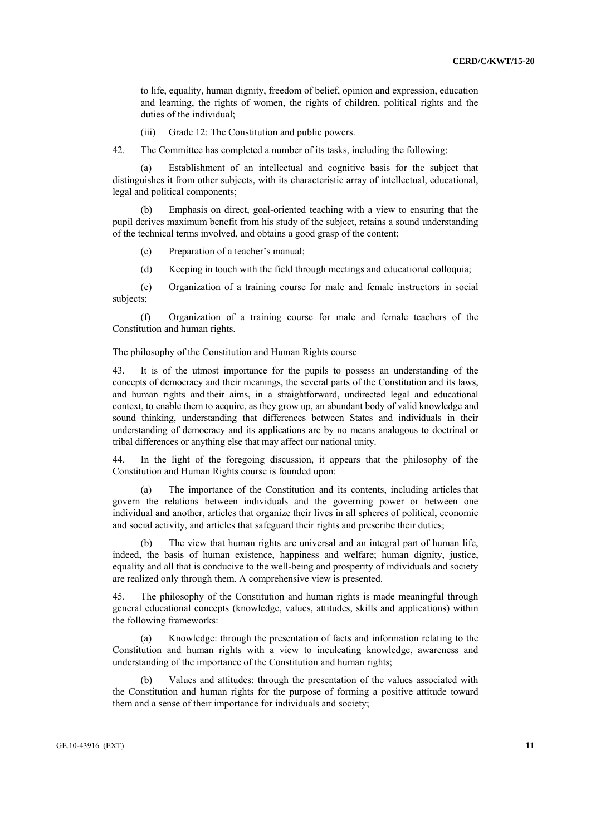to life, equality, human dignity, freedom of belief, opinion and expression, education and learning, the rights of women, the rights of children, political rights and the duties of the individual;

(iii) Grade 12: The Constitution and public powers.

42. The Committee has completed a number of its tasks, including the following:

(a) Establishment of an intellectual and cognitive basis for the subject that distinguishes it from other subjects, with its characteristic array of intellectual, educational, legal and political components;

(b) Emphasis on direct, goal-oriented teaching with a view to ensuring that the pupil derives maximum benefit from his study of the subject, retains a sound understanding of the technical terms involved, and obtains a good grasp of the content;

(c) Preparation of a teacher's manual;

(d) Keeping in touch with the field through meetings and educational colloquia;

(e) Organization of a training course for male and female instructors in social subjects;

(f) Organization of a training course for male and female teachers of the Constitution and human rights.

The philosophy of the Constitution and Human Rights course

43. It is of the utmost importance for the pupils to possess an understanding of the concepts of democracy and their meanings, the several parts of the Constitution and its laws, and human rights and their aims, in a straightforward, undirected legal and educational context, to enable them to acquire, as they grow up, an abundant body of valid knowledge and sound thinking, understanding that differences between States and individuals in their understanding of democracy and its applications are by no means analogous to doctrinal or tribal differences or anything else that may affect our national unity.

44. In the light of the foregoing discussion, it appears that the philosophy of the Constitution and Human Rights course is founded upon:

(a) The importance of the Constitution and its contents, including articles that govern the relations between individuals and the governing power or between one individual and another, articles that organize their lives in all spheres of political, economic and social activity, and articles that safeguard their rights and prescribe their duties;

(b) The view that human rights are universal and an integral part of human life, indeed, the basis of human existence, happiness and welfare; human dignity, justice, equality and all that is conducive to the well-being and prosperity of individuals and society are realized only through them. A comprehensive view is presented.

45. The philosophy of the Constitution and human rights is made meaningful through general educational concepts (knowledge, values, attitudes, skills and applications) within the following frameworks:

(a) Knowledge: through the presentation of facts and information relating to the Constitution and human rights with a view to inculcating knowledge, awareness and understanding of the importance of the Constitution and human rights;

(b) Values and attitudes: through the presentation of the values associated with the Constitution and human rights for the purpose of forming a positive attitude toward them and a sense of their importance for individuals and society;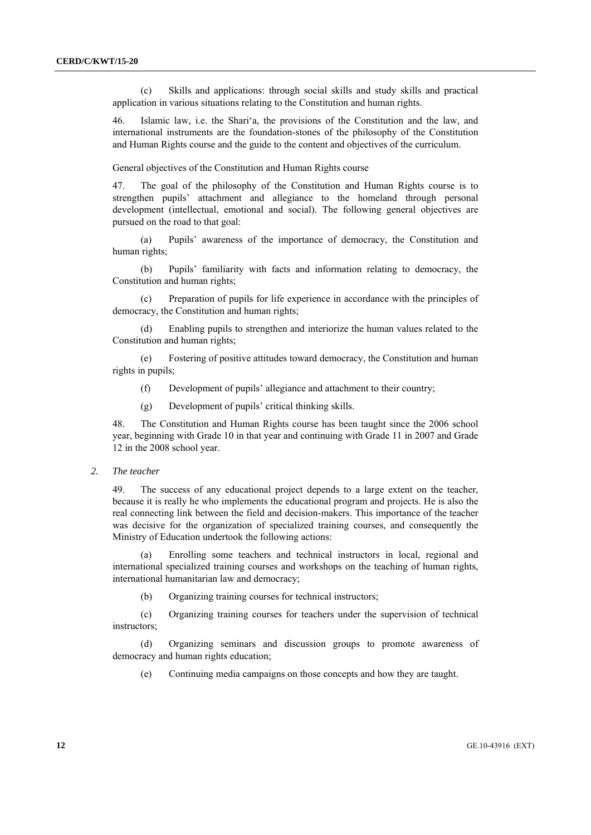(c) Skills and applications: through social skills and study skills and practical application in various situations relating to the Constitution and human rights.

46. Islamic law, i.e. the Shari'a, the provisions of the Constitution and the law, and international instruments are the foundation-stones of the philosophy of the Constitution and Human Rights course and the guide to the content and objectives of the curriculum.

General objectives of the Constitution and Human Rights course

47. The goal of the philosophy of the Constitution and Human Rights course is to strengthen pupils' attachment and allegiance to the homeland through personal development (intellectual, emotional and social). The following general objectives are pursued on the road to that goal:

(a) Pupils' awareness of the importance of democracy, the Constitution and human rights;

(b) Pupils' familiarity with facts and information relating to democracy, the Constitution and human rights;

(c) Preparation of pupils for life experience in accordance with the principles of democracy, the Constitution and human rights;

(d) Enabling pupils to strengthen and interiorize the human values related to the Constitution and human rights;

(e) Fostering of positive attitudes toward democracy, the Constitution and human rights in pupils;

- (f) Development of pupils' allegiance and attachment to their country;
- (g) Development of pupils' critical thinking skills.

48. The Constitution and Human Rights course has been taught since the 2006 school year, beginning with Grade 10 in that year and continuing with Grade 11 in 2007 and Grade 12 in the 2008 school year.

 *2. The teacher* 

49. The success of any educational project depends to a large extent on the teacher, because it is really he who implements the educational program and projects. He is also the real connecting link between the field and decision-makers. This importance of the teacher was decisive for the organization of specialized training courses, and consequently the Ministry of Education undertook the following actions:

(a) Enrolling some teachers and technical instructors in local, regional and international specialized training courses and workshops on the teaching of human rights, international humanitarian law and democracy;

(b) Organizing training courses for technical instructors;

(c) Organizing training courses for teachers under the supervision of technical instructors;

(d) Organizing seminars and discussion groups to promote awareness of democracy and human rights education;

(e) Continuing media campaigns on those concepts and how they are taught.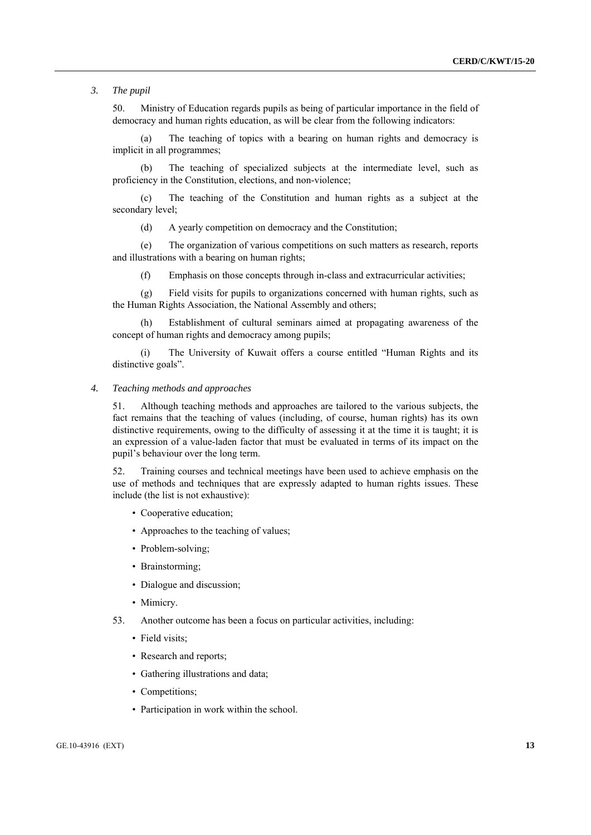*3. The pupil* 

50. Ministry of Education regards pupils as being of particular importance in the field of democracy and human rights education, as will be clear from the following indicators:

(a) The teaching of topics with a bearing on human rights and democracy is implicit in all programmes;

(b) The teaching of specialized subjects at the intermediate level, such as proficiency in the Constitution, elections, and non-violence;

(c) The teaching of the Constitution and human rights as a subject at the secondary level;

(d) A yearly competition on democracy and the Constitution;

(e) The organization of various competitions on such matters as research, reports and illustrations with a bearing on human rights;

(f) Emphasis on those concepts through in-class and extracurricular activities;

(g) Field visits for pupils to organizations concerned with human rights, such as the Human Rights Association, the National Assembly and others;

(h) Establishment of cultural seminars aimed at propagating awareness of the concept of human rights and democracy among pupils;

The University of Kuwait offers a course entitled "Human Rights and its distinctive goals".

# *4. Teaching methods and approaches*

51. Although teaching methods and approaches are tailored to the various subjects, the fact remains that the teaching of values (including, of course, human rights) has its own distinctive requirements, owing to the difficulty of assessing it at the time it is taught; it is an expression of a value-laden factor that must be evaluated in terms of its impact on the pupil's behaviour over the long term.

52. Training courses and technical meetings have been used to achieve emphasis on the use of methods and techniques that are expressly adapted to human rights issues. These include (the list is not exhaustive):

- Cooperative education;
- Approaches to the teaching of values;
- Problem-solving;
- Brainstorming;
- Dialogue and discussion;
- Mimicry.
- 53. Another outcome has been a focus on particular activities, including:
	- Field visits:
	- Research and reports;
	- Gathering illustrations and data;
	- Competitions;
	- Participation in work within the school.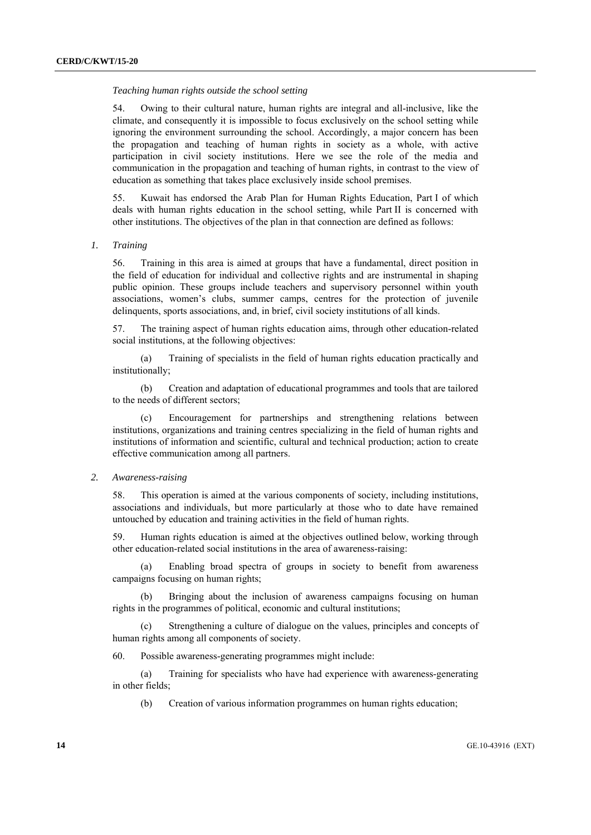#### *Teaching human rights outside the school setting*

54. Owing to their cultural nature, human rights are integral and all-inclusive, like the climate, and consequently it is impossible to focus exclusively on the school setting while ignoring the environment surrounding the school. Accordingly, a major concern has been the propagation and teaching of human rights in society as a whole, with active participation in civil society institutions. Here we see the role of the media and communication in the propagation and teaching of human rights, in contrast to the view of education as something that takes place exclusively inside school premises.

55. Kuwait has endorsed the Arab Plan for Human Rights Education, Part I of which deals with human rights education in the school setting, while Part II is concerned with other institutions. The objectives of the plan in that connection are defined as follows:

## *1. Training*

56. Training in this area is aimed at groups that have a fundamental, direct position in the field of education for individual and collective rights and are instrumental in shaping public opinion. These groups include teachers and supervisory personnel within youth associations, women's clubs, summer camps, centres for the protection of juvenile delinquents, sports associations, and, in brief, civil society institutions of all kinds.

57. The training aspect of human rights education aims, through other education-related social institutions, at the following objectives:

(a) Training of specialists in the field of human rights education practically and institutionally;

(b) Creation and adaptation of educational programmes and tools that are tailored to the needs of different sectors;

(c) Encouragement for partnerships and strengthening relations between institutions, organizations and training centres specializing in the field of human rights and institutions of information and scientific, cultural and technical production; action to create effective communication among all partners.

# *2. Awareness-raising*

58. This operation is aimed at the various components of society, including institutions, associations and individuals, but more particularly at those who to date have remained untouched by education and training activities in the field of human rights.

59. Human rights education is aimed at the objectives outlined below, working through other education-related social institutions in the area of awareness-raising:

(a) Enabling broad spectra of groups in society to benefit from awareness campaigns focusing on human rights;

(b) Bringing about the inclusion of awareness campaigns focusing on human rights in the programmes of political, economic and cultural institutions;

(c) Strengthening a culture of dialogue on the values, principles and concepts of human rights among all components of society.

60. Possible awareness-generating programmes might include:

(a) Training for specialists who have had experience with awareness-generating in other fields;

(b) Creation of various information programmes on human rights education;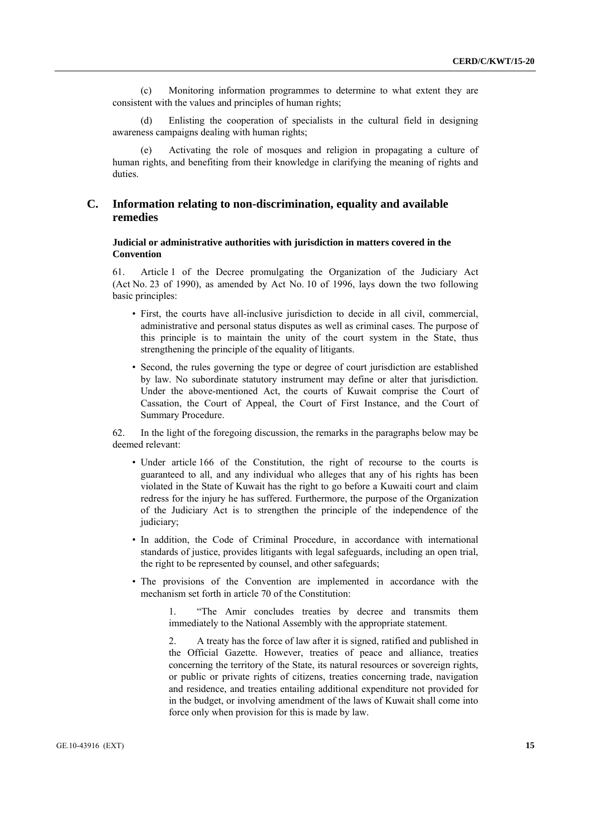(c) Monitoring information programmes to determine to what extent they are consistent with the values and principles of human rights;

(d) Enlisting the cooperation of specialists in the cultural field in designing awareness campaigns dealing with human rights;

(e) Activating the role of mosques and religion in propagating a culture of human rights, and benefiting from their knowledge in clarifying the meaning of rights and duties.

# **C. Information relating to non-discrimination, equality and available remedies**

# **Judicial or administrative authorities with jurisdiction in matters covered in the Convention**

61. Article 1 of the Decree promulgating the Organization of the Judiciary Act (Act No. 23 of 1990), as amended by Act No. 10 of 1996, lays down the two following basic principles:

- First, the courts have all-inclusive jurisdiction to decide in all civil, commercial, administrative and personal status disputes as well as criminal cases. The purpose of this principle is to maintain the unity of the court system in the State, thus strengthening the principle of the equality of litigants.
- Second, the rules governing the type or degree of court jurisdiction are established by law. No subordinate statutory instrument may define or alter that jurisdiction. Under the above-mentioned Act, the courts of Kuwait comprise the Court of Cassation, the Court of Appeal, the Court of First Instance, and the Court of Summary Procedure.

62. In the light of the foregoing discussion, the remarks in the paragraphs below may be deemed relevant:

- Under article 166 of the Constitution, the right of recourse to the courts is guaranteed to all, and any individual who alleges that any of his rights has been violated in the State of Kuwait has the right to go before a Kuwaiti court and claim redress for the injury he has suffered. Furthermore, the purpose of the Organization of the Judiciary Act is to strengthen the principle of the independence of the judiciary;
- In addition, the Code of Criminal Procedure, in accordance with international standards of justice, provides litigants with legal safeguards, including an open trial, the right to be represented by counsel, and other safeguards;
- The provisions of the Convention are implemented in accordance with the mechanism set forth in article 70 of the Constitution:

1. "The Amir concludes treaties by decree and transmits them immediately to the National Assembly with the appropriate statement.

2. A treaty has the force of law after it is signed, ratified and published in the Official Gazette. However, treaties of peace and alliance, treaties concerning the territory of the State, its natural resources or sovereign rights, or public or private rights of citizens, treaties concerning trade, navigation and residence, and treaties entailing additional expenditure not provided for in the budget, or involving amendment of the laws of Kuwait shall come into force only when provision for this is made by law.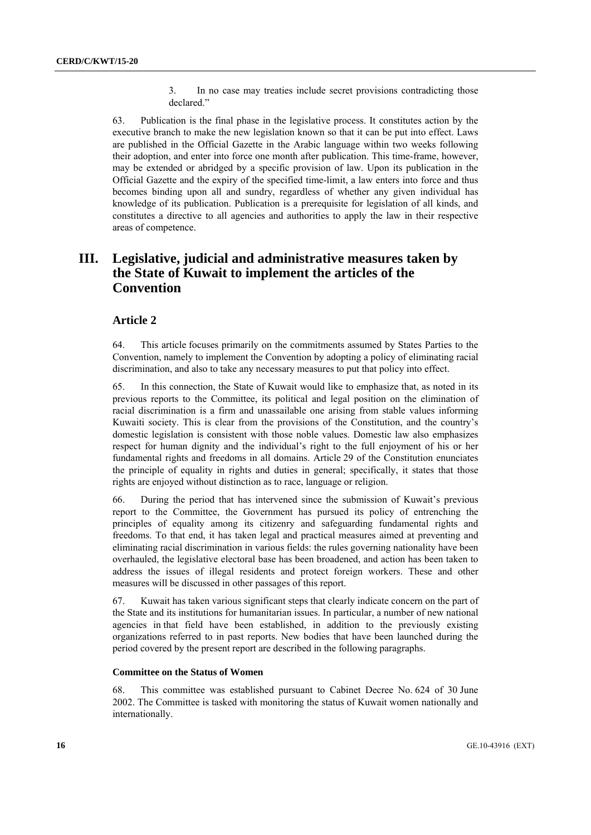3. In no case may treaties include secret provisions contradicting those declared."

63. Publication is the final phase in the legislative process. It constitutes action by the executive branch to make the new legislation known so that it can be put into effect. Laws are published in the Official Gazette in the Arabic language within two weeks following their adoption, and enter into force one month after publication. This time-frame, however, may be extended or abridged by a specific provision of law. Upon its publication in the Official Gazette and the expiry of the specified time-limit, a law enters into force and thus becomes binding upon all and sundry, regardless of whether any given individual has knowledge of its publication. Publication is a prerequisite for legislation of all kinds, and constitutes a directive to all agencies and authorities to apply the law in their respective areas of competence.

# **III. Legislative, judicial and administrative measures taken by the State of Kuwait to implement the articles of the Convention**

# **Article 2**

64. This article focuses primarily on the commitments assumed by States Parties to the Convention, namely to implement the Convention by adopting a policy of eliminating racial discrimination, and also to take any necessary measures to put that policy into effect.

65. In this connection, the State of Kuwait would like to emphasize that, as noted in its previous reports to the Committee, its political and legal position on the elimination of racial discrimination is a firm and unassailable one arising from stable values informing Kuwaiti society. This is clear from the provisions of the Constitution, and the country's domestic legislation is consistent with those noble values. Domestic law also emphasizes respect for human dignity and the individual's right to the full enjoyment of his or her fundamental rights and freedoms in all domains. Article 29 of the Constitution enunciates the principle of equality in rights and duties in general; specifically, it states that those rights are enjoyed without distinction as to race, language or religion.

66. During the period that has intervened since the submission of Kuwait's previous report to the Committee, the Government has pursued its policy of entrenching the principles of equality among its citizenry and safeguarding fundamental rights and freedoms. To that end, it has taken legal and practical measures aimed at preventing and eliminating racial discrimination in various fields: the rules governing nationality have been overhauled, the legislative electoral base has been broadened, and action has been taken to address the issues of illegal residents and protect foreign workers. These and other measures will be discussed in other passages of this report.

67. Kuwait has taken various significant steps that clearly indicate concern on the part of the State and its institutions for humanitarian issues. In particular, a number of new national agencies in that field have been established, in addition to the previously existing organizations referred to in past reports. New bodies that have been launched during the period covered by the present report are described in the following paragraphs.

#### **Committee on the Status of Women**

68. This committee was established pursuant to Cabinet Decree No. 624 of 30 June 2002. The Committee is tasked with monitoring the status of Kuwait women nationally and internationally.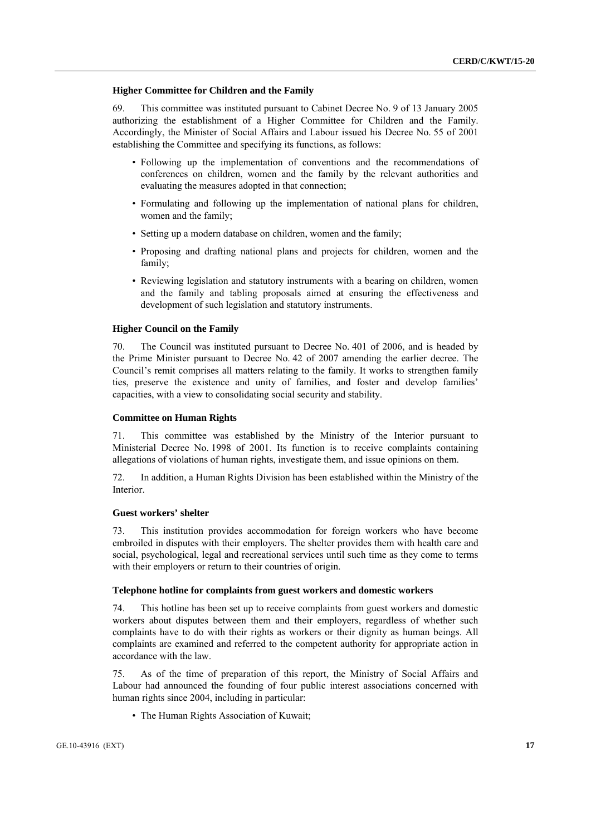#### **Higher Committee for Children and the Family**

69. This committee was instituted pursuant to Cabinet Decree No. 9 of 13 January 2005 authorizing the establishment of a Higher Committee for Children and the Family. Accordingly, the Minister of Social Affairs and Labour issued his Decree No. 55 of 2001 establishing the Committee and specifying its functions, as follows:

- Following up the implementation of conventions and the recommendations of conferences on children, women and the family by the relevant authorities and evaluating the measures adopted in that connection;
- Formulating and following up the implementation of national plans for children, women and the family;
- Setting up a modern database on children, women and the family;
- Proposing and drafting national plans and projects for children, women and the family;
- Reviewing legislation and statutory instruments with a bearing on children, women and the family and tabling proposals aimed at ensuring the effectiveness and development of such legislation and statutory instruments.

#### **Higher Council on the Family**

70. The Council was instituted pursuant to Decree No. 401 of 2006, and is headed by the Prime Minister pursuant to Decree No. 42 of 2007 amending the earlier decree. The Council's remit comprises all matters relating to the family. It works to strengthen family ties, preserve the existence and unity of families, and foster and develop families' capacities, with a view to consolidating social security and stability.

# **Committee on Human Rights**

71. This committee was established by the Ministry of the Interior pursuant to Ministerial Decree No. 1998 of 2001. Its function is to receive complaints containing allegations of violations of human rights, investigate them, and issue opinions on them.

72. In addition, a Human Rights Division has been established within the Ministry of the Interior.

#### **Guest workers' shelter**

73. This institution provides accommodation for foreign workers who have become embroiled in disputes with their employers. The shelter provides them with health care and social, psychological, legal and recreational services until such time as they come to terms with their employers or return to their countries of origin.

# **Telephone hotline for complaints from guest workers and domestic workers**

74. This hotline has been set up to receive complaints from guest workers and domestic workers about disputes between them and their employers, regardless of whether such complaints have to do with their rights as workers or their dignity as human beings. All complaints are examined and referred to the competent authority for appropriate action in accordance with the law.

75. As of the time of preparation of this report, the Ministry of Social Affairs and Labour had announced the founding of four public interest associations concerned with human rights since 2004, including in particular:

• The Human Rights Association of Kuwait;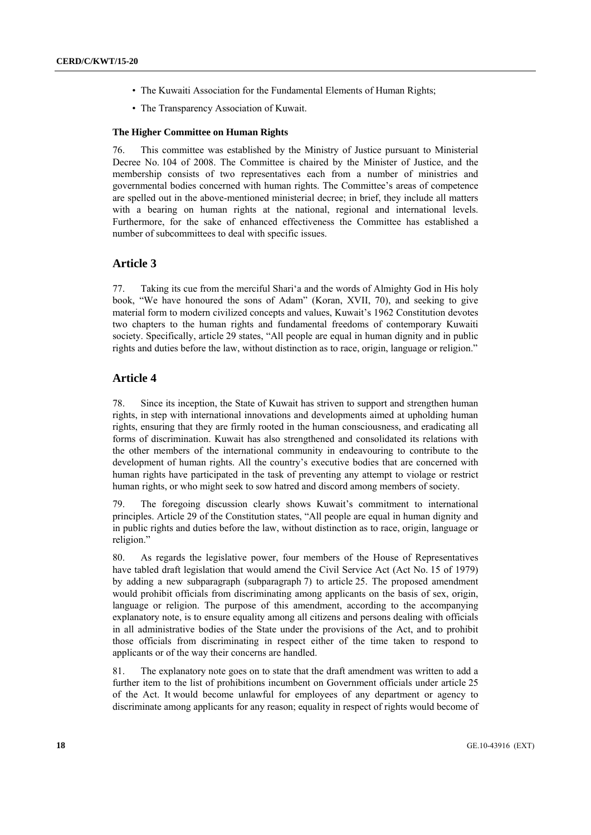- The Kuwaiti Association for the Fundamental Elements of Human Rights;
- The Transparency Association of Kuwait.

## **The Higher Committee on Human Rights**

76. This committee was established by the Ministry of Justice pursuant to Ministerial Decree No. 104 of 2008. The Committee is chaired by the Minister of Justice, and the membership consists of two representatives each from a number of ministries and governmental bodies concerned with human rights. The Committee's areas of competence are spelled out in the above-mentioned ministerial decree; in brief, they include all matters with a bearing on human rights at the national, regional and international levels. Furthermore, for the sake of enhanced effectiveness the Committee has established a number of subcommittees to deal with specific issues.

# **Article 3**

77. Taking its cue from the merciful Shari'a and the words of Almighty God in His holy book, "We have honoured the sons of Adam" (Koran, XVII, 70), and seeking to give material form to modern civilized concepts and values, Kuwait's 1962 Constitution devotes two chapters to the human rights and fundamental freedoms of contemporary Kuwaiti society. Specifically, article 29 states, "All people are equal in human dignity and in public rights and duties before the law, without distinction as to race, origin, language or religion."

# **Article 4**

78. Since its inception, the State of Kuwait has striven to support and strengthen human rights, in step with international innovations and developments aimed at upholding human rights, ensuring that they are firmly rooted in the human consciousness, and eradicating all forms of discrimination. Kuwait has also strengthened and consolidated its relations with the other members of the international community in endeavouring to contribute to the development of human rights. All the country's executive bodies that are concerned with human rights have participated in the task of preventing any attempt to violage or restrict human rights, or who might seek to sow hatred and discord among members of society.

79. The foregoing discussion clearly shows Kuwait's commitment to international principles. Article 29 of the Constitution states, "All people are equal in human dignity and in public rights and duties before the law, without distinction as to race, origin, language or religion."

80. As regards the legislative power, four members of the House of Representatives have tabled draft legislation that would amend the Civil Service Act (Act No. 15 of 1979) by adding a new subparagraph (subparagraph 7) to article 25. The proposed amendment would prohibit officials from discriminating among applicants on the basis of sex, origin, language or religion. The purpose of this amendment, according to the accompanying explanatory note, is to ensure equality among all citizens and persons dealing with officials in all administrative bodies of the State under the provisions of the Act, and to prohibit those officials from discriminating in respect either of the time taken to respond to applicants or of the way their concerns are handled.

81. The explanatory note goes on to state that the draft amendment was written to add a further item to the list of prohibitions incumbent on Government officials under article 25 of the Act. It would become unlawful for employees of any department or agency to discriminate among applicants for any reason; equality in respect of rights would become of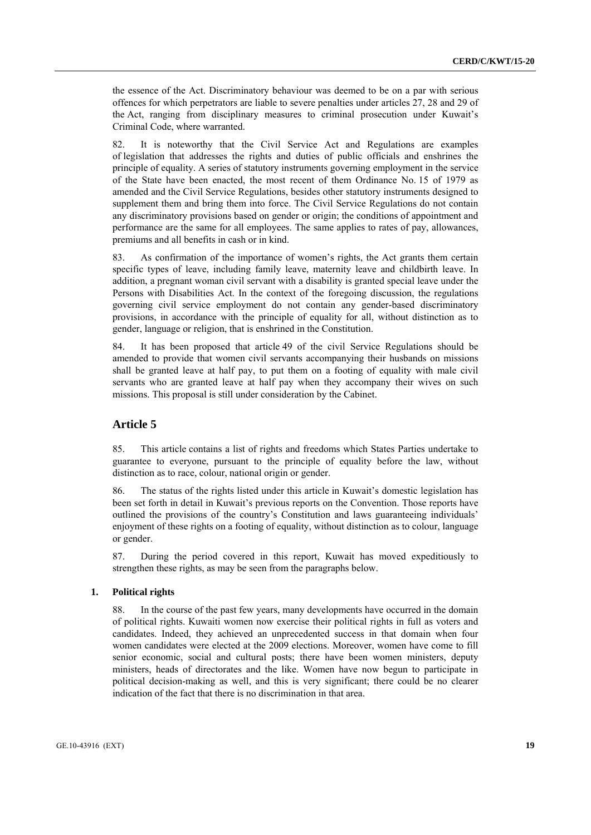the essence of the Act. Discriminatory behaviour was deemed to be on a par with serious offences for which perpetrators are liable to severe penalties under articles 27, 28 and 29 of the Act, ranging from disciplinary measures to criminal prosecution under Kuwait's Criminal Code, where warranted.

82. It is noteworthy that the Civil Service Act and Regulations are examples of legislation that addresses the rights and duties of public officials and enshrines the principle of equality. A series of statutory instruments governing employment in the service of the State have been enacted, the most recent of them Ordinance No. 15 of 1979 as amended and the Civil Service Regulations, besides other statutory instruments designed to supplement them and bring them into force. The Civil Service Regulations do not contain any discriminatory provisions based on gender or origin; the conditions of appointment and performance are the same for all employees. The same applies to rates of pay, allowances, premiums and all benefits in cash or in kind.

83. As confirmation of the importance of women's rights, the Act grants them certain specific types of leave, including family leave, maternity leave and childbirth leave. In addition, a pregnant woman civil servant with a disability is granted special leave under the Persons with Disabilities Act. In the context of the foregoing discussion, the regulations governing civil service employment do not contain any gender-based discriminatory provisions, in accordance with the principle of equality for all, without distinction as to gender, language or religion, that is enshrined in the Constitution.

84. It has been proposed that article 49 of the civil Service Regulations should be amended to provide that women civil servants accompanying their husbands on missions shall be granted leave at half pay, to put them on a footing of equality with male civil servants who are granted leave at half pay when they accompany their wives on such missions. This proposal is still under consideration by the Cabinet.

# **Article 5**

85. This article contains a list of rights and freedoms which States Parties undertake to guarantee to everyone, pursuant to the principle of equality before the law, without distinction as to race, colour, national origin or gender.

86. The status of the rights listed under this article in Kuwait's domestic legislation has been set forth in detail in Kuwait's previous reports on the Convention. Those reports have outlined the provisions of the country's Constitution and laws guaranteeing individuals' enjoyment of these rights on a footing of equality, without distinction as to colour, language or gender.

87. During the period covered in this report, Kuwait has moved expeditiously to strengthen these rights, as may be seen from the paragraphs below.

# **1. Political rights**

88. In the course of the past few years, many developments have occurred in the domain of political rights. Kuwaiti women now exercise their political rights in full as voters and candidates. Indeed, they achieved an unprecedented success in that domain when four women candidates were elected at the 2009 elections. Moreover, women have come to fill senior economic, social and cultural posts; there have been women ministers, deputy ministers, heads of directorates and the like. Women have now begun to participate in political decision-making as well, and this is very significant; there could be no clearer indication of the fact that there is no discrimination in that area.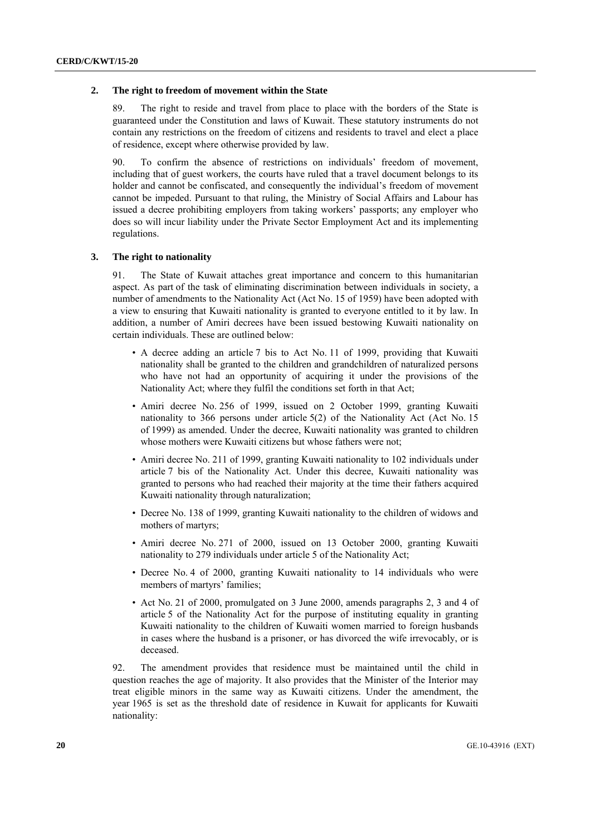#### **2. The right to freedom of movement within the State**

89. The right to reside and travel from place to place with the borders of the State is guaranteed under the Constitution and laws of Kuwait. These statutory instruments do not contain any restrictions on the freedom of citizens and residents to travel and elect a place of residence, except where otherwise provided by law.

90. To confirm the absence of restrictions on individuals' freedom of movement, including that of guest workers, the courts have ruled that a travel document belongs to its holder and cannot be confiscated, and consequently the individual's freedom of movement cannot be impeded. Pursuant to that ruling, the Ministry of Social Affairs and Labour has issued a decree prohibiting employers from taking workers' passports; any employer who does so will incur liability under the Private Sector Employment Act and its implementing regulations.

## **3. The right to nationality**

91. The State of Kuwait attaches great importance and concern to this humanitarian aspect. As part of the task of eliminating discrimination between individuals in society, a number of amendments to the Nationality Act (Act No. 15 of 1959) have been adopted with a view to ensuring that Kuwaiti nationality is granted to everyone entitled to it by law. In addition, a number of Amiri decrees have been issued bestowing Kuwaiti nationality on certain individuals. These are outlined below:

- A decree adding an article 7 bis to Act No. 11 of 1999, providing that Kuwaiti nationality shall be granted to the children and grandchildren of naturalized persons who have not had an opportunity of acquiring it under the provisions of the Nationality Act; where they fulfil the conditions set forth in that Act;
- Amiri decree No. 256 of 1999, issued on 2 October 1999, granting Kuwaiti nationality to 366 persons under article 5(2) of the Nationality Act (Act No. 15 of 1999) as amended. Under the decree, Kuwaiti nationality was granted to children whose mothers were Kuwaiti citizens but whose fathers were not;
- Amiri decree No. 211 of 1999, granting Kuwaiti nationality to 102 individuals under article 7 bis of the Nationality Act. Under this decree, Kuwaiti nationality was granted to persons who had reached their majority at the time their fathers acquired Kuwaiti nationality through naturalization;
- Decree No. 138 of 1999, granting Kuwaiti nationality to the children of widows and mothers of martyrs;
- Amiri decree No. 271 of 2000, issued on 13 October 2000, granting Kuwaiti nationality to 279 individuals under article 5 of the Nationality Act;
- Decree No. 4 of 2000, granting Kuwaiti nationality to 14 individuals who were members of martyrs' families;
- Act No. 21 of 2000, promulgated on 3 June 2000, amends paragraphs 2, 3 and 4 of article 5 of the Nationality Act for the purpose of instituting equality in granting Kuwaiti nationality to the children of Kuwaiti women married to foreign husbands in cases where the husband is a prisoner, or has divorced the wife irrevocably, or is deceased.

92. The amendment provides that residence must be maintained until the child in question reaches the age of majority. It also provides that the Minister of the Interior may treat eligible minors in the same way as Kuwaiti citizens. Under the amendment, the year 1965 is set as the threshold date of residence in Kuwait for applicants for Kuwaiti nationality: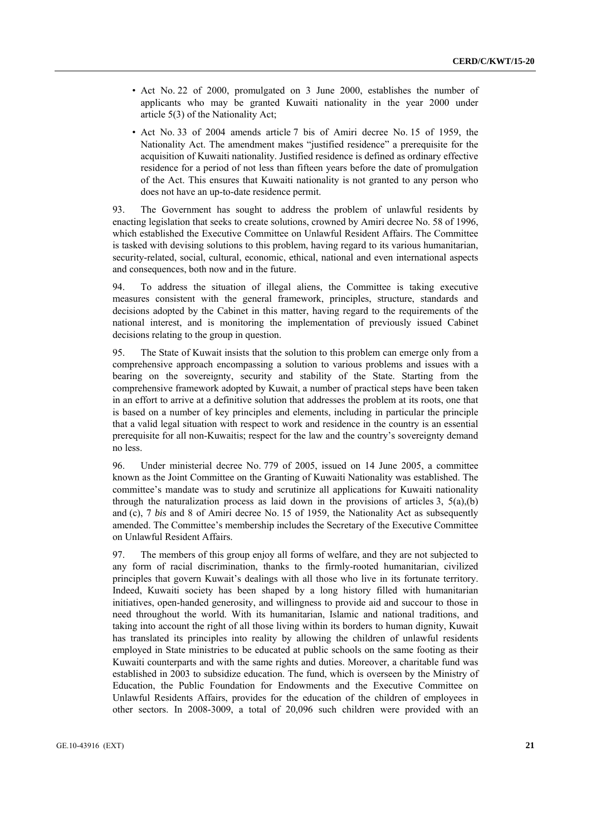- Act No. 22 of 2000, promulgated on 3 June 2000, establishes the number of applicants who may be granted Kuwaiti nationality in the year 2000 under article 5(3) of the Nationality Act;
- Act No. 33 of 2004 amends article 7 bis of Amiri decree No. 15 of 1959, the Nationality Act. The amendment makes "justified residence" a prerequisite for the acquisition of Kuwaiti nationality. Justified residence is defined as ordinary effective residence for a period of not less than fifteen years before the date of promulgation of the Act. This ensures that Kuwaiti nationality is not granted to any person who does not have an up-to-date residence permit.

93. The Government has sought to address the problem of unlawful residents by enacting legislation that seeks to create solutions, crowned by Amiri decree No. 58 of 1996, which established the Executive Committee on Unlawful Resident Affairs. The Committee is tasked with devising solutions to this problem, having regard to its various humanitarian, security-related, social, cultural, economic, ethical, national and even international aspects and consequences, both now and in the future.

94. To address the situation of illegal aliens, the Committee is taking executive measures consistent with the general framework, principles, structure, standards and decisions adopted by the Cabinet in this matter, having regard to the requirements of the national interest, and is monitoring the implementation of previously issued Cabinet decisions relating to the group in question.

95. The State of Kuwait insists that the solution to this problem can emerge only from a comprehensive approach encompassing a solution to various problems and issues with a bearing on the sovereignty, security and stability of the State. Starting from the comprehensive framework adopted by Kuwait, a number of practical steps have been taken in an effort to arrive at a definitive solution that addresses the problem at its roots, one that is based on a number of key principles and elements, including in particular the principle that a valid legal situation with respect to work and residence in the country is an essential prerequisite for all non-Kuwaitis; respect for the law and the country's sovereignty demand no less.

96. Under ministerial decree No. 779 of 2005, issued on 14 June 2005, a committee known as the Joint Committee on the Granting of Kuwaiti Nationality was established. The committee's mandate was to study and scrutinize all applications for Kuwaiti nationality through the naturalization process as laid down in the provisions of articles 3,  $5(a)(b)$ and (c), 7 *bis* and 8 of Amiri decree No. 15 of 1959, the Nationality Act as subsequently amended. The Committee's membership includes the Secretary of the Executive Committee on Unlawful Resident Affairs.

97. The members of this group enjoy all forms of welfare, and they are not subjected to any form of racial discrimination, thanks to the firmly-rooted humanitarian, civilized principles that govern Kuwait's dealings with all those who live in its fortunate territory. Indeed, Kuwaiti society has been shaped by a long history filled with humanitarian initiatives, open-handed generosity, and willingness to provide aid and succour to those in need throughout the world. With its humanitarian, Islamic and national traditions, and taking into account the right of all those living within its borders to human dignity, Kuwait has translated its principles into reality by allowing the children of unlawful residents employed in State ministries to be educated at public schools on the same footing as their Kuwaiti counterparts and with the same rights and duties. Moreover, a charitable fund was established in 2003 to subsidize education. The fund, which is overseen by the Ministry of Education, the Public Foundation for Endowments and the Executive Committee on Unlawful Residents Affairs, provides for the education of the children of employees in other sectors. In 2008-3009, a total of 20,096 such children were provided with an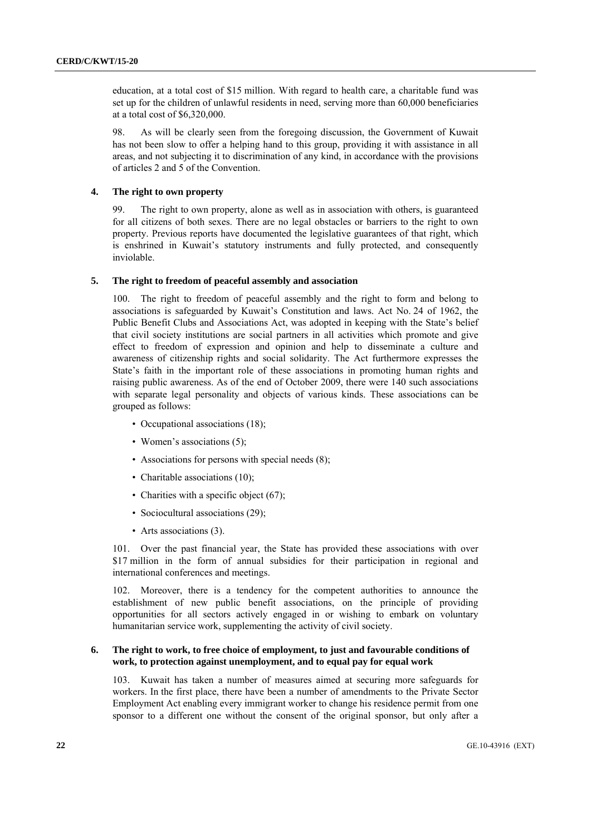education, at a total cost of \$15 million. With regard to health care, a charitable fund was set up for the children of unlawful residents in need, serving more than 60,000 beneficiaries at a total cost of \$6,320,000.

98. As will be clearly seen from the foregoing discussion, the Government of Kuwait has not been slow to offer a helping hand to this group, providing it with assistance in all areas, and not subjecting it to discrimination of any kind, in accordance with the provisions of articles 2 and 5 of the Convention.

## **4. The right to own property**

99. The right to own property, alone as well as in association with others, is guaranteed for all citizens of both sexes. There are no legal obstacles or barriers to the right to own property. Previous reports have documented the legislative guarantees of that right, which is enshrined in Kuwait's statutory instruments and fully protected, and consequently inviolable.

#### **5. The right to freedom of peaceful assembly and association**

100. The right to freedom of peaceful assembly and the right to form and belong to associations is safeguarded by Kuwait's Constitution and laws. Act No. 24 of 1962, the Public Benefit Clubs and Associations Act, was adopted in keeping with the State's belief that civil society institutions are social partners in all activities which promote and give effect to freedom of expression and opinion and help to disseminate a culture and awareness of citizenship rights and social solidarity. The Act furthermore expresses the State's faith in the important role of these associations in promoting human rights and raising public awareness. As of the end of October 2009, there were 140 such associations with separate legal personality and objects of various kinds. These associations can be grouped as follows:

- Occupational associations (18);
- Women's associations (5);
- Associations for persons with special needs (8);
- Charitable associations (10);
- Charities with a specific object (67);
- Sociocultural associations (29);
- Arts associations (3).

101. Over the past financial year, the State has provided these associations with over \$17 million in the form of annual subsidies for their participation in regional and international conferences and meetings.

102. Moreover, there is a tendency for the competent authorities to announce the establishment of new public benefit associations, on the principle of providing opportunities for all sectors actively engaged in or wishing to embark on voluntary humanitarian service work, supplementing the activity of civil society.

# **6. The right to work, to free choice of employment, to just and favourable conditions of work, to protection against unemployment, and to equal pay for equal work**

103. Kuwait has taken a number of measures aimed at securing more safeguards for workers. In the first place, there have been a number of amendments to the Private Sector Employment Act enabling every immigrant worker to change his residence permit from one sponsor to a different one without the consent of the original sponsor, but only after a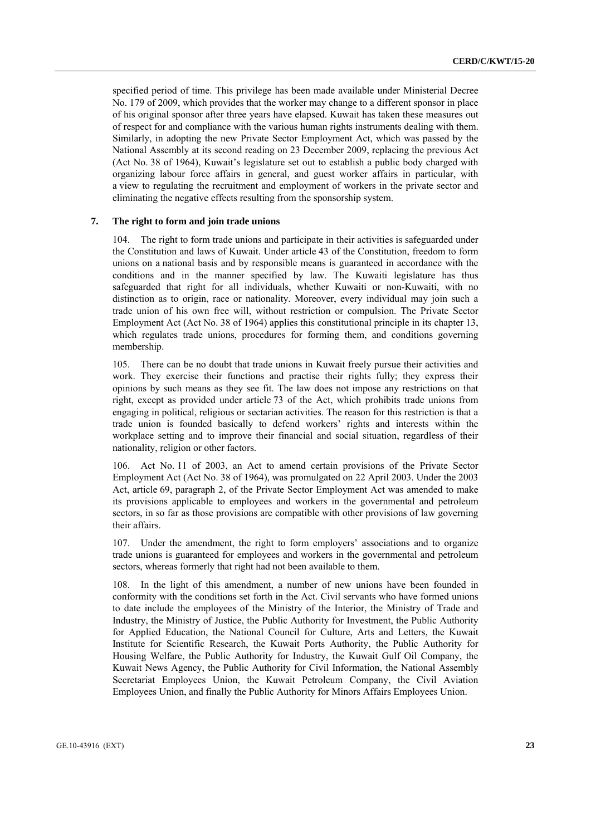specified period of time. This privilege has been made available under Ministerial Decree No. 179 of 2009, which provides that the worker may change to a different sponsor in place of his original sponsor after three years have elapsed. Kuwait has taken these measures out of respect for and compliance with the various human rights instruments dealing with them. Similarly, in adopting the new Private Sector Employment Act, which was passed by the National Assembly at its second reading on 23 December 2009, replacing the previous Act (Act No. 38 of 1964), Kuwait's legislature set out to establish a public body charged with organizing labour force affairs in general, and guest worker affairs in particular, with a view to regulating the recruitment and employment of workers in the private sector and eliminating the negative effects resulting from the sponsorship system.

# **7. The right to form and join trade unions**

104. The right to form trade unions and participate in their activities is safeguarded under the Constitution and laws of Kuwait. Under article 43 of the Constitution, freedom to form unions on a national basis and by responsible means is guaranteed in accordance with the conditions and in the manner specified by law. The Kuwaiti legislature has thus safeguarded that right for all individuals, whether Kuwaiti or non-Kuwaiti, with no distinction as to origin, race or nationality. Moreover, every individual may join such a trade union of his own free will, without restriction or compulsion. The Private Sector Employment Act (Act No. 38 of 1964) applies this constitutional principle in its chapter 13, which regulates trade unions, procedures for forming them, and conditions governing membership.

105. There can be no doubt that trade unions in Kuwait freely pursue their activities and work. They exercise their functions and practise their rights fully; they express their opinions by such means as they see fit. The law does not impose any restrictions on that right, except as provided under article 73 of the Act, which prohibits trade unions from engaging in political, religious or sectarian activities. The reason for this restriction is that a trade union is founded basically to defend workers' rights and interests within the workplace setting and to improve their financial and social situation, regardless of their nationality, religion or other factors.

106. Act No. 11 of 2003, an Act to amend certain provisions of the Private Sector Employment Act (Act No. 38 of 1964), was promulgated on 22 April 2003. Under the 2003 Act, article 69, paragraph 2, of the Private Sector Employment Act was amended to make its provisions applicable to employees and workers in the governmental and petroleum sectors, in so far as those provisions are compatible with other provisions of law governing their affairs.

107. Under the amendment, the right to form employers' associations and to organize trade unions is guaranteed for employees and workers in the governmental and petroleum sectors, whereas formerly that right had not been available to them.

108. In the light of this amendment, a number of new unions have been founded in conformity with the conditions set forth in the Act. Civil servants who have formed unions to date include the employees of the Ministry of the Interior, the Ministry of Trade and Industry, the Ministry of Justice, the Public Authority for Investment, the Public Authority for Applied Education, the National Council for Culture, Arts and Letters, the Kuwait Institute for Scientific Research, the Kuwait Ports Authority, the Public Authority for Housing Welfare, the Public Authority for Industry, the Kuwait Gulf Oil Company, the Kuwait News Agency, the Public Authority for Civil Information, the National Assembly Secretariat Employees Union, the Kuwait Petroleum Company, the Civil Aviation Employees Union, and finally the Public Authority for Minors Affairs Employees Union.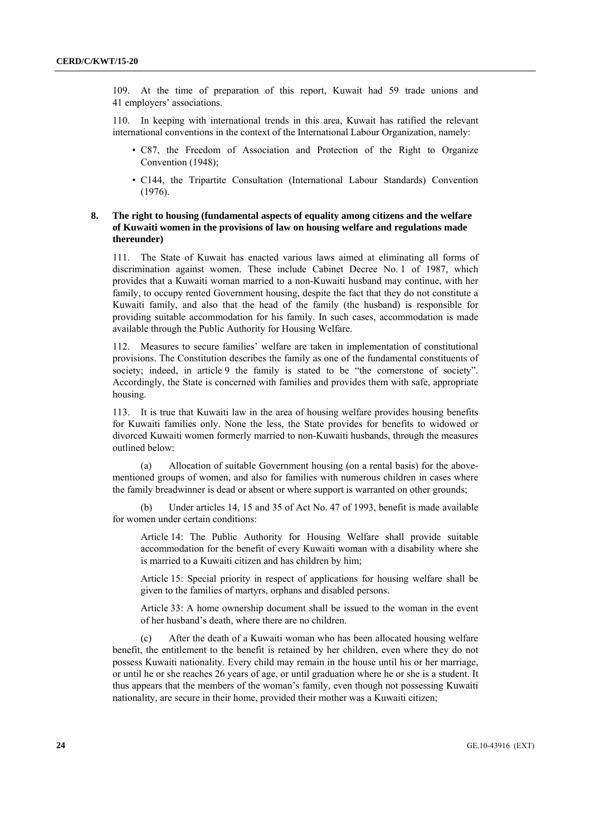109. At the time of preparation of this report, Kuwait had 59 trade unions and 41 employers' associations.

110. In keeping with international trends in this area, Kuwait has ratified the relevant international conventions in the context of the International Labour Organization, namely:

- C87, the Freedom of Association and Protection of the Right to Organize Convention (1948);
- C144, the Tripartite Consultation (International Labour Standards) Convention (1976).

# **8. The right to housing (fundamental aspects of equality among citizens and the welfare of Kuwaiti women in the provisions of law on housing welfare and regulations made thereunder)**

111. The State of Kuwait has enacted various laws aimed at eliminating all forms of discrimination against women. These include Cabinet Decree No. 1 of 1987, which provides that a Kuwaiti woman married to a non-Kuwaiti husband may continue, with her family, to occupy rented Government housing, despite the fact that they do not constitute a Kuwaiti family, and also that the head of the family (the husband) is responsible for providing suitable accommodation for his family. In such cases, accommodation is made available through the Public Authority for Housing Welfare.

112. Measures to secure families' welfare are taken in implementation of constitutional provisions. The Constitution describes the family as one of the fundamental constituents of society; indeed, in article 9 the family is stated to be "the cornerstone of society". Accordingly, the State is concerned with families and provides them with safe, appropriate housing.

113. It is true that Kuwaiti law in the area of housing welfare provides housing benefits for Kuwaiti families only. None the less, the State provides for benefits to widowed or divorced Kuwaiti women formerly married to non-Kuwaiti husbands, through the measures outlined below:

(a) Allocation of suitable Government housing (on a rental basis) for the abovementioned groups of women, and also for families with numerous children in cases where the family breadwinner is dead or absent or where support is warranted on other grounds;

(b) Under articles 14, 15 and 35 of Act No. 47 of 1993, benefit is made available for women under certain conditions:

Article 14: The Public Authority for Housing Welfare shall provide suitable accommodation for the benefit of every Kuwaiti woman with a disability where she is married to a Kuwaiti citizen and has children by him;

Article 15: Special priority in respect of applications for housing welfare shall be given to the families of martyrs, orphans and disabled persons.

Article 33: A home ownership document shall be issued to the woman in the event of her husband's death, where there are no children.

(c) After the death of a Kuwaiti woman who has been allocated housing welfare benefit, the entitlement to the benefit is retained by her children, even where they do not possess Kuwaiti nationality. Every child may remain in the house until his or her marriage, or until he or she reaches 26 years of age, or until graduation where he or she is a student. It thus appears that the members of the woman's family, even though not possessing Kuwaiti nationality, are secure in their home, provided their mother was a Kuwaiti citizen;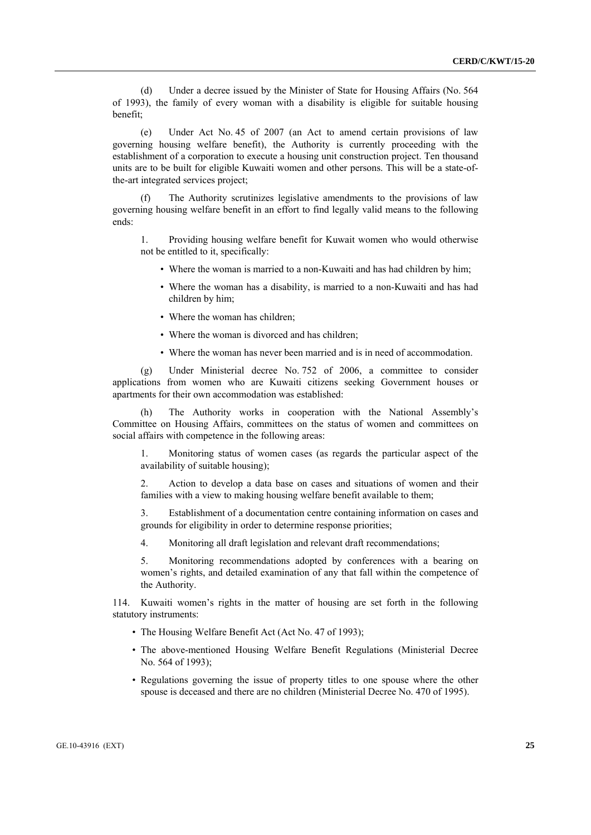(d) Under a decree issued by the Minister of State for Housing Affairs (No. 564 of 1993), the family of every woman with a disability is eligible for suitable housing benefit;

(e) Under Act No. 45 of 2007 (an Act to amend certain provisions of law governing housing welfare benefit), the Authority is currently proceeding with the establishment of a corporation to execute a housing unit construction project. Ten thousand units are to be built for eligible Kuwaiti women and other persons. This will be a state-ofthe-art integrated services project;

The Authority scrutinizes legislative amendments to the provisions of law governing housing welfare benefit in an effort to find legally valid means to the following ends:

1. Providing housing welfare benefit for Kuwait women who would otherwise not be entitled to it, specifically:

- Where the woman is married to a non-Kuwaiti and has had children by him;
- Where the woman has a disability, is married to a non-Kuwaiti and has had children by him;
- Where the woman has children;
- Where the woman is divorced and has children;
- Where the woman has never been married and is in need of accommodation.

(g) Under Ministerial decree No. 752 of 2006, a committee to consider applications from women who are Kuwaiti citizens seeking Government houses or apartments for their own accommodation was established:

(h) The Authority works in cooperation with the National Assembly's Committee on Housing Affairs, committees on the status of women and committees on social affairs with competence in the following areas:

1. Monitoring status of women cases (as regards the particular aspect of the availability of suitable housing);

2. Action to develop a data base on cases and situations of women and their families with a view to making housing welfare benefit available to them;

3. Establishment of a documentation centre containing information on cases and grounds for eligibility in order to determine response priorities;

4. Monitoring all draft legislation and relevant draft recommendations;

5. Monitoring recommendations adopted by conferences with a bearing on women's rights, and detailed examination of any that fall within the competence of the Authority.

114. Kuwaiti women's rights in the matter of housing are set forth in the following statutory instruments:

- The Housing Welfare Benefit Act (Act No. 47 of 1993);
- The above-mentioned Housing Welfare Benefit Regulations (Ministerial Decree No. 564 of 1993);
- Regulations governing the issue of property titles to one spouse where the other spouse is deceased and there are no children (Ministerial Decree No. 470 of 1995).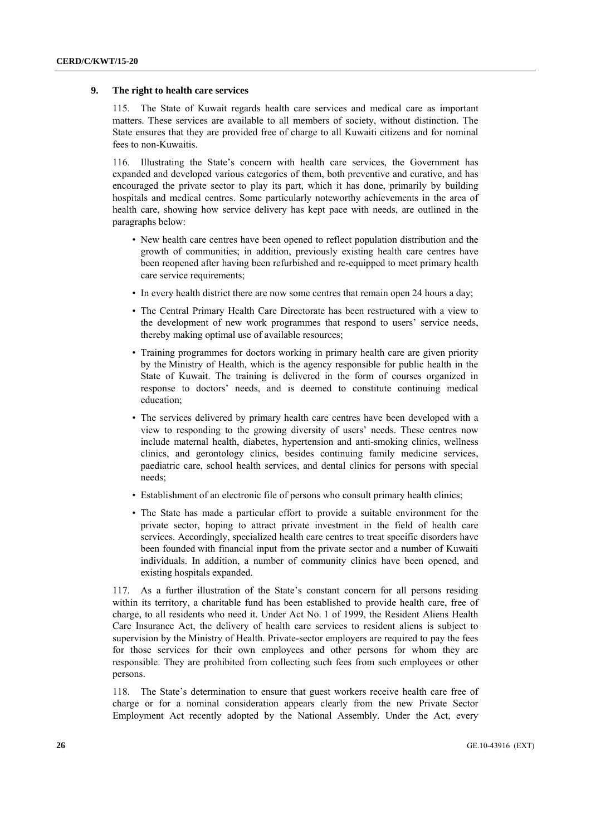#### **9. The right to health care services**

115. The State of Kuwait regards health care services and medical care as important matters. These services are available to all members of society, without distinction. The State ensures that they are provided free of charge to all Kuwaiti citizens and for nominal fees to non-Kuwaitis.

116. Illustrating the State's concern with health care services, the Government has expanded and developed various categories of them, both preventive and curative, and has encouraged the private sector to play its part, which it has done, primarily by building hospitals and medical centres. Some particularly noteworthy achievements in the area of health care, showing how service delivery has kept pace with needs, are outlined in the paragraphs below:

- New health care centres have been opened to reflect population distribution and the growth of communities; in addition, previously existing health care centres have been reopened after having been refurbished and re-equipped to meet primary health care service requirements;
- In every health district there are now some centres that remain open 24 hours a day;
- The Central Primary Health Care Directorate has been restructured with a view to the development of new work programmes that respond to users' service needs, thereby making optimal use of available resources;
- Training programmes for doctors working in primary health care are given priority by the Ministry of Health, which is the agency responsible for public health in the State of Kuwait. The training is delivered in the form of courses organized in response to doctors' needs, and is deemed to constitute continuing medical education;
- The services delivered by primary health care centres have been developed with a view to responding to the growing diversity of users' needs. These centres now include maternal health, diabetes, hypertension and anti-smoking clinics, wellness clinics, and gerontology clinics, besides continuing family medicine services, paediatric care, school health services, and dental clinics for persons with special needs;
- Establishment of an electronic file of persons who consult primary health clinics;
- The State has made a particular effort to provide a suitable environment for the private sector, hoping to attract private investment in the field of health care services. Accordingly, specialized health care centres to treat specific disorders have been founded with financial input from the private sector and a number of Kuwaiti individuals. In addition, a number of community clinics have been opened, and existing hospitals expanded.

117. As a further illustration of the State's constant concern for all persons residing within its territory, a charitable fund has been established to provide health care, free of charge, to all residents who need it. Under Act No. 1 of 1999, the Resident Aliens Health Care Insurance Act, the delivery of health care services to resident aliens is subject to supervision by the Ministry of Health. Private-sector employers are required to pay the fees for those services for their own employees and other persons for whom they are responsible. They are prohibited from collecting such fees from such employees or other persons.

118. The State's determination to ensure that guest workers receive health care free of charge or for a nominal consideration appears clearly from the new Private Sector Employment Act recently adopted by the National Assembly. Under the Act, every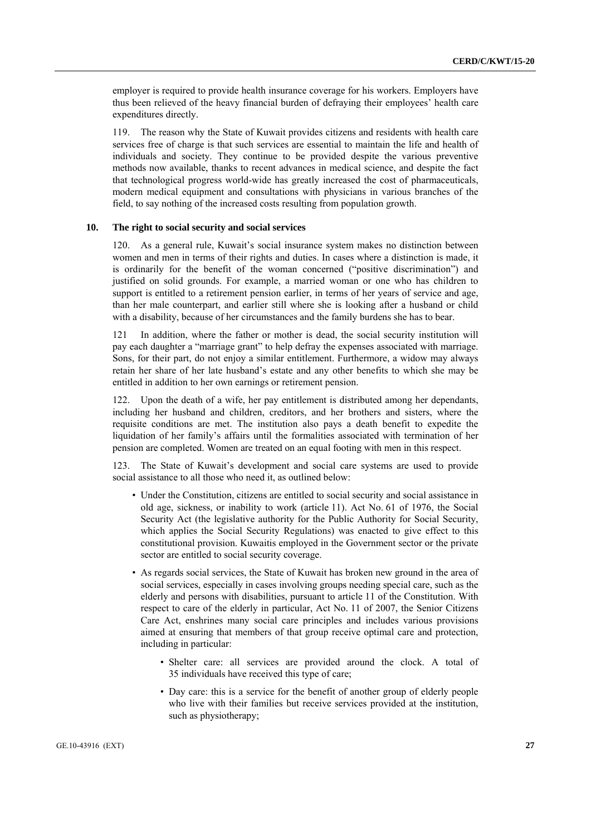employer is required to provide health insurance coverage for his workers. Employers have thus been relieved of the heavy financial burden of defraying their employees' health care expenditures directly.

119. The reason why the State of Kuwait provides citizens and residents with health care services free of charge is that such services are essential to maintain the life and health of individuals and society. They continue to be provided despite the various preventive methods now available, thanks to recent advances in medical science, and despite the fact that technological progress world-wide has greatly increased the cost of pharmaceuticals, modern medical equipment and consultations with physicians in various branches of the field, to say nothing of the increased costs resulting from population growth.

# **10. The right to social security and social services**

120. As a general rule, Kuwait's social insurance system makes no distinction between women and men in terms of their rights and duties. In cases where a distinction is made, it is ordinarily for the benefit of the woman concerned ("positive discrimination") and justified on solid grounds. For example, a married woman or one who has children to support is entitled to a retirement pension earlier, in terms of her years of service and age, than her male counterpart, and earlier still where she is looking after a husband or child with a disability, because of her circumstances and the family burdens she has to bear.

121 In addition, where the father or mother is dead, the social security institution will pay each daughter a "marriage grant" to help defray the expenses associated with marriage. Sons, for their part, do not enjoy a similar entitlement. Furthermore, a widow may always retain her share of her late husband's estate and any other benefits to which she may be entitled in addition to her own earnings or retirement pension.

Upon the death of a wife, her pay entitlement is distributed among her dependants, including her husband and children, creditors, and her brothers and sisters, where the requisite conditions are met. The institution also pays a death benefit to expedite the liquidation of her family's affairs until the formalities associated with termination of her pension are completed. Women are treated on an equal footing with men in this respect.

123. The State of Kuwait's development and social care systems are used to provide social assistance to all those who need it, as outlined below:

- Under the Constitution, citizens are entitled to social security and social assistance in old age, sickness, or inability to work (article 11). Act No. 61 of 1976, the Social Security Act (the legislative authority for the Public Authority for Social Security, which applies the Social Security Regulations) was enacted to give effect to this constitutional provision. Kuwaitis employed in the Government sector or the private sector are entitled to social security coverage.
- As regards social services, the State of Kuwait has broken new ground in the area of social services, especially in cases involving groups needing special care, such as the elderly and persons with disabilities, pursuant to article 11 of the Constitution. With respect to care of the elderly in particular, Act No. 11 of 2007, the Senior Citizens Care Act, enshrines many social care principles and includes various provisions aimed at ensuring that members of that group receive optimal care and protection, including in particular:
	- Shelter care: all services are provided around the clock. A total of 35 individuals have received this type of care;
	- Day care: this is a service for the benefit of another group of elderly people who live with their families but receive services provided at the institution, such as physiotherapy;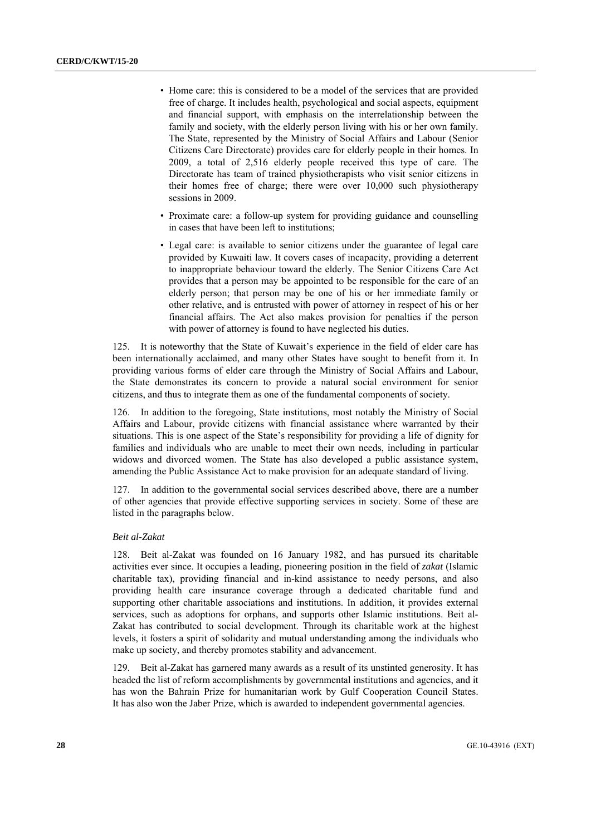- Home care: this is considered to be a model of the services that are provided free of charge. It includes health, psychological and social aspects, equipment and financial support, with emphasis on the interrelationship between the family and society, with the elderly person living with his or her own family. The State, represented by the Ministry of Social Affairs and Labour (Senior Citizens Care Directorate) provides care for elderly people in their homes. In 2009, a total of 2,516 elderly people received this type of care. The Directorate has team of trained physiotherapists who visit senior citizens in their homes free of charge; there were over 10,000 such physiotherapy sessions in 2009.
- Proximate care: a follow-up system for providing guidance and counselling in cases that have been left to institutions;
- Legal care: is available to senior citizens under the guarantee of legal care provided by Kuwaiti law. It covers cases of incapacity, providing a deterrent to inappropriate behaviour toward the elderly. The Senior Citizens Care Act provides that a person may be appointed to be responsible for the care of an elderly person; that person may be one of his or her immediate family or other relative, and is entrusted with power of attorney in respect of his or her financial affairs. The Act also makes provision for penalties if the person with power of attorney is found to have neglected his duties.

125. It is noteworthy that the State of Kuwait's experience in the field of elder care has been internationally acclaimed, and many other States have sought to benefit from it. In providing various forms of elder care through the Ministry of Social Affairs and Labour, the State demonstrates its concern to provide a natural social environment for senior citizens, and thus to integrate them as one of the fundamental components of society.

126. In addition to the foregoing, State institutions, most notably the Ministry of Social Affairs and Labour, provide citizens with financial assistance where warranted by their situations. This is one aspect of the State's responsibility for providing a life of dignity for families and individuals who are unable to meet their own needs, including in particular widows and divorced women. The State has also developed a public assistance system, amending the Public Assistance Act to make provision for an adequate standard of living.

In addition to the governmental social services described above, there are a number of other agencies that provide effective supporting services in society. Some of these are listed in the paragraphs below.

#### *Beit al-Zakat*

128. Beit al-Zakat was founded on 16 January 1982, and has pursued its charitable activities ever since. It occupies a leading, pioneering position in the field of *zakat* (Islamic charitable tax), providing financial and in-kind assistance to needy persons, and also providing health care insurance coverage through a dedicated charitable fund and supporting other charitable associations and institutions. In addition, it provides external services, such as adoptions for orphans, and supports other Islamic institutions. Beit al-Zakat has contributed to social development. Through its charitable work at the highest levels, it fosters a spirit of solidarity and mutual understanding among the individuals who make up society, and thereby promotes stability and advancement.

129. Beit al-Zakat has garnered many awards as a result of its unstinted generosity. It has headed the list of reform accomplishments by governmental institutions and agencies, and it has won the Bahrain Prize for humanitarian work by Gulf Cooperation Council States. It has also won the Jaber Prize, which is awarded to independent governmental agencies.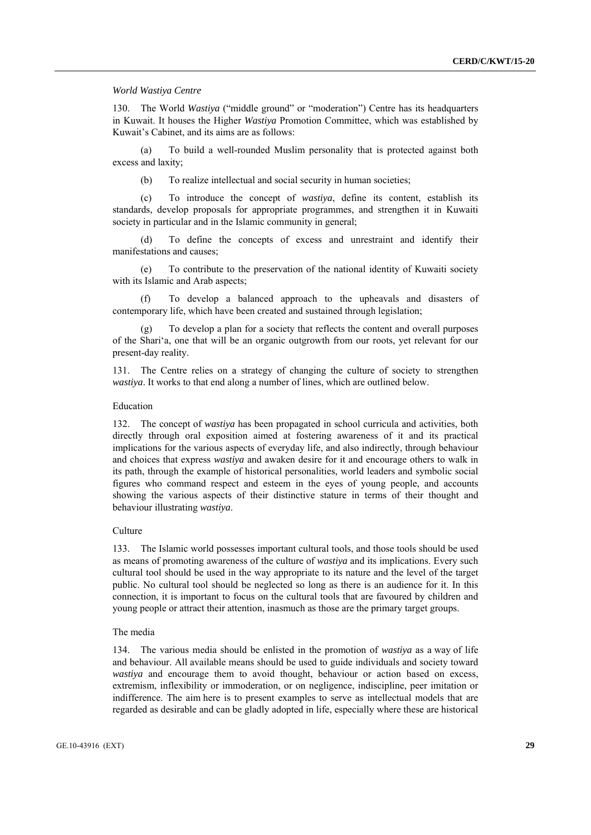#### *World Wastiya Centre*

130. The World *Wastiya* ("middle ground" or "moderation") Centre has its headquarters in Kuwait. It houses the Higher *Wastiya* Promotion Committee, which was established by Kuwait's Cabinet, and its aims are as follows:

To build a well-rounded Muslim personality that is protected against both excess and laxity;

(b) To realize intellectual and social security in human societies;

(c) To introduce the concept of *wastiya*, define its content, establish its standards, develop proposals for appropriate programmes, and strengthen it in Kuwaiti society in particular and in the Islamic community in general;

To define the concepts of excess and unrestraint and identify their manifestations and causes;

(e) To contribute to the preservation of the national identity of Kuwaiti society with its Islamic and Arab aspects;

(f) To develop a balanced approach to the upheavals and disasters of contemporary life, which have been created and sustained through legislation;

(g) To develop a plan for a society that reflects the content and overall purposes of the Shari'a, one that will be an organic outgrowth from our roots, yet relevant for our present-day reality.

131. The Centre relies on a strategy of changing the culture of society to strengthen *wastiya*. It works to that end along a number of lines, which are outlined below.

#### Education

132. The concept of *wastiya* has been propagated in school curricula and activities, both directly through oral exposition aimed at fostering awareness of it and its practical implications for the various aspects of everyday life, and also indirectly, through behaviour and choices that express *wastiya* and awaken desire for it and encourage others to walk in its path, through the example of historical personalities, world leaders and symbolic social figures who command respect and esteem in the eyes of young people, and accounts showing the various aspects of their distinctive stature in terms of their thought and behaviour illustrating *wastiya*.

#### **Culture**

133. The Islamic world possesses important cultural tools, and those tools should be used as means of promoting awareness of the culture of *wastiya* and its implications. Every such cultural tool should be used in the way appropriate to its nature and the level of the target public. No cultural tool should be neglected so long as there is an audience for it. In this connection, it is important to focus on the cultural tools that are favoured by children and young people or attract their attention, inasmuch as those are the primary target groups.

#### The media

134. The various media should be enlisted in the promotion of *wastiya* as a way of life and behaviour. All available means should be used to guide individuals and society toward *wastiya* and encourage them to avoid thought, behaviour or action based on excess, extremism, inflexibility or immoderation, or on negligence, indiscipline, peer imitation or indifference. The aim here is to present examples to serve as intellectual models that are regarded as desirable and can be gladly adopted in life, especially where these are historical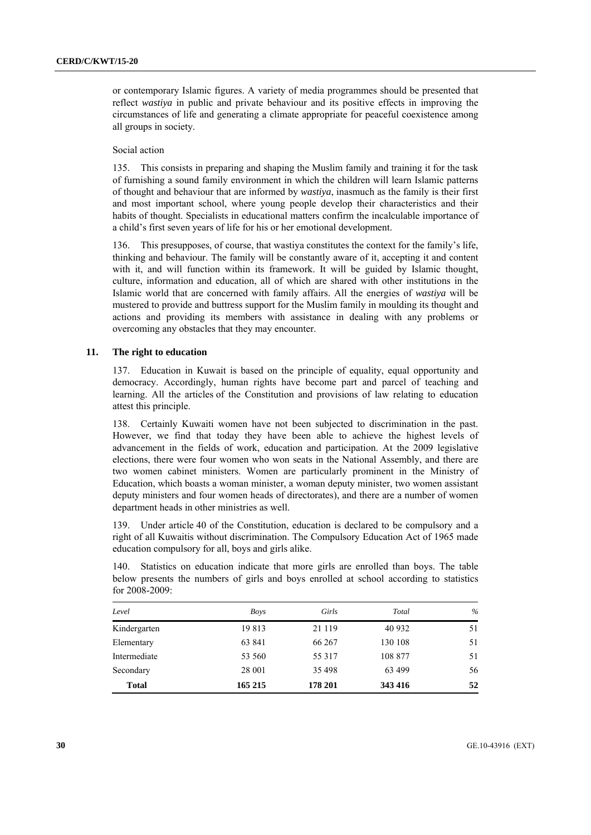or contemporary Islamic figures. A variety of media programmes should be presented that reflect *wastiya* in public and private behaviour and its positive effects in improving the circumstances of life and generating a climate appropriate for peaceful coexistence among all groups in society.

#### Social action

135. This consists in preparing and shaping the Muslim family and training it for the task of furnishing a sound family environment in which the children will learn Islamic patterns of thought and behaviour that are informed by *wastiya*, inasmuch as the family is their first and most important school, where young people develop their characteristics and their habits of thought. Specialists in educational matters confirm the incalculable importance of a child's first seven years of life for his or her emotional development.

136. This presupposes, of course, that wastiya constitutes the context for the family's life, thinking and behaviour. The family will be constantly aware of it, accepting it and content with it, and will function within its framework. It will be guided by Islamic thought, culture, information and education, all of which are shared with other institutions in the Islamic world that are concerned with family affairs. All the energies of *wastiya* will be mustered to provide and buttress support for the Muslim family in moulding its thought and actions and providing its members with assistance in dealing with any problems or overcoming any obstacles that they may encounter.

## **11. The right to education**

137. Education in Kuwait is based on the principle of equality, equal opportunity and democracy. Accordingly, human rights have become part and parcel of teaching and learning. All the articles of the Constitution and provisions of law relating to education attest this principle.

138. Certainly Kuwaiti women have not been subjected to discrimination in the past. However, we find that today they have been able to achieve the highest levels of advancement in the fields of work, education and participation. At the 2009 legislative elections, there were four women who won seats in the National Assembly, and there are two women cabinet ministers. Women are particularly prominent in the Ministry of Education, which boasts a woman minister, a woman deputy minister, two women assistant deputy ministers and four women heads of directorates), and there are a number of women department heads in other ministries as well.

139. Under article 40 of the Constitution, education is declared to be compulsory and a right of all Kuwaitis without discrimination. The Compulsory Education Act of 1965 made education compulsory for all, boys and girls alike.

140. Statistics on education indicate that more girls are enrolled than boys. The table below presents the numbers of girls and boys enrolled at school according to statistics for 2008-2009:

| Level        | Boys    | Girls   | Total   | $\frac{0}{0}$ |
|--------------|---------|---------|---------|---------------|
| Kindergarten | 19813   | 21 1 19 | 40 9 32 | 51            |
| Elementary   | 63 841  | 66 267  | 130 108 | 51            |
| Intermediate | 53 560  | 55 317  | 108 877 | 51            |
| Secondary    | 28 001  | 35 498  | 63 499  | 56            |
| <b>Total</b> | 165 215 | 178 201 | 343 416 | 52            |